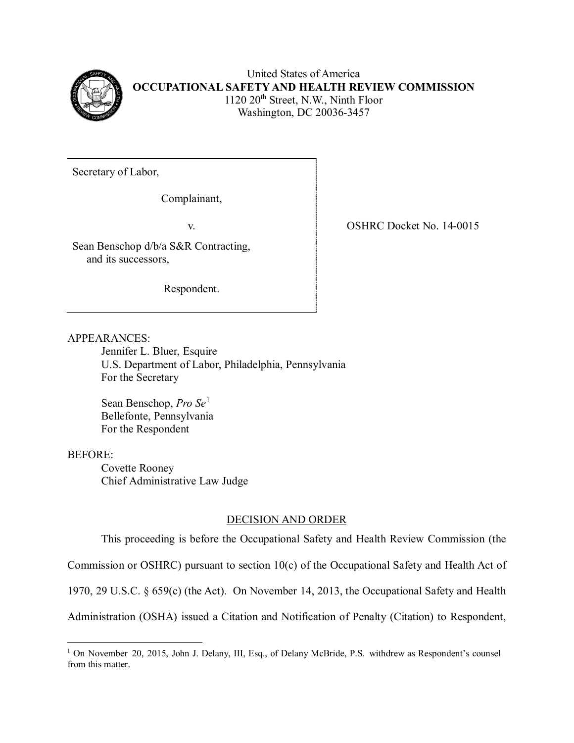

United States of America **OCCUPATIONAL SAFETY AND HEALTH REVIEW COMMISSION** 1120 20<sup>th</sup> Street, N.W., Ninth Floor Washington, DC 20036-3457

Secretary of Labor,

Complainant,

Sean Benschop d/b/a S&R Contracting, and its successors,

Respondent.

v. SHRC Docket No. 14-0015

# APPEARANCES:

Jennifer L. Bluer, Esquire U.S. Department of Labor, Philadelphia, Pennsylvania For the Secretary

Sean Benschop, *Pro Se*[1](#page-0-0) Bellefonte, Pennsylvania For the Respondent

# BEFORE:

 $\overline{a}$ 

Covette Rooney Chief Administrative Law Judge

# DECISION AND ORDER

This proceeding is before the Occupational Safety and Health Review Commission (the

Commission or OSHRC) pursuant to section 10(c) of the Occupational Safety and Health Act of

1970, 29 U.S.C. § 659(c) (the Act). On November 14, 2013, the Occupational Safety and Health

Administration (OSHA) issued a Citation and Notification of Penalty (Citation) to Respondent,

<span id="page-0-0"></span><sup>&</sup>lt;sup>1</sup> On November 20, 2015, John J. Delany, III, Esq., of Delany McBride, P.S. withdrew as Respondent's counsel from this matter.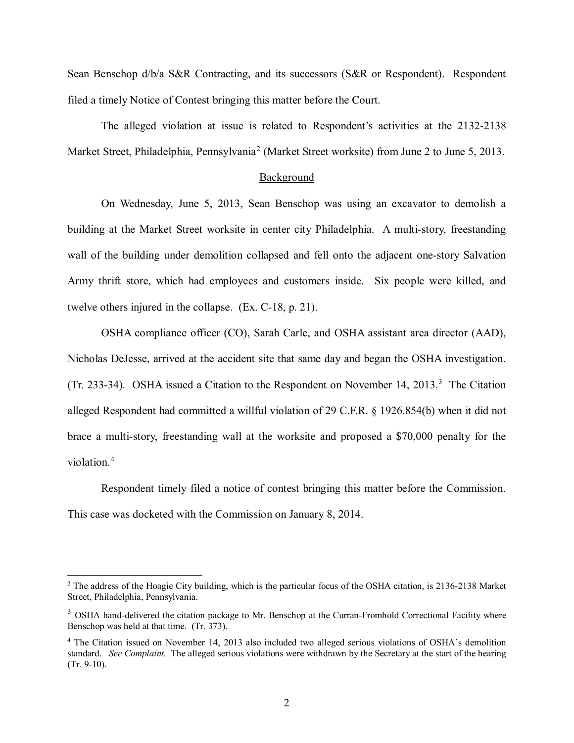Sean Benschop d/b/a S&R Contracting, and its successors (S&R or Respondent). Respondent filed a timely Notice of Contest bringing this matter before the Court.

The alleged violation at issue is related to Respondent's activities at the 2132-2138 Market Street, Philadelphia, Pennsylvania<sup>[2](#page-1-0)</sup> (Market Street worksite) from June 2 to June 5, 2013.

## Background

On Wednesday, June 5, 2013, Sean Benschop was using an excavator to demolish a building at the Market Street worksite in center city Philadelphia. A multi-story, freestanding wall of the building under demolition collapsed and fell onto the adjacent one-story Salvation Army thrift store, which had employees and customers inside. Six people were killed, and twelve others injured in the collapse. (Ex. C-18, p. 21).

OSHA compliance officer (CO), Sarah Carle, and OSHA assistant area director (AAD), Nicholas DeJesse, arrived at the accident site that same day and began the OSHA investigation. (Tr. 2[3](#page-1-1)3-34). OSHA issued a Citation to the Respondent on November 14, 2013.<sup>3</sup> The Citation alleged Respondent had committed a willful violation of 29 C.F.R. § 1926.854(b) when it did not brace a multi-story, freestanding wall at the worksite and proposed a \$70,000 penalty for the violation.<sup>[4](#page-1-2)</sup>

Respondent timely filed a notice of contest bringing this matter before the Commission. This case was docketed with the Commission on January 8, 2014.

<span id="page-1-0"></span><sup>&</sup>lt;sup>2</sup> The address of the Hoagie City building, which is the particular focus of the OSHA citation, is 2136-2138 Market Street, Philadelphia, Pennsylvania.

<span id="page-1-1"></span><sup>&</sup>lt;sup>3</sup> OSHA hand-delivered the citation package to Mr. Benschop at the Curran-Fromhold Correctional Facility where Benschop was held at that time. (Tr. 373).

<span id="page-1-2"></span><sup>4</sup> The Citation issued on November 14, 2013 also included two alleged serious violations of OSHA's demolition standard. *See Complaint.* The alleged serious violations were withdrawn by the Secretary at the start of the hearing (Tr. 9-10).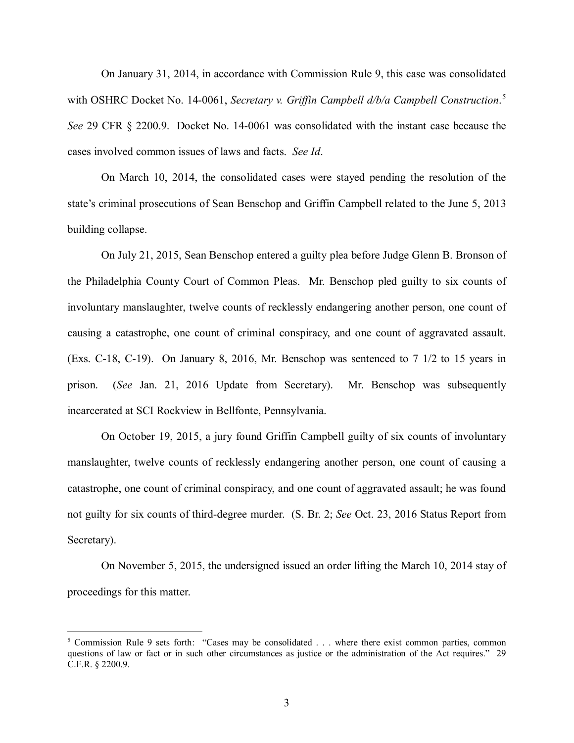On January 31, 2014, in accordance with Commission Rule 9, this case was consolidated with OSHRC Docket No. 14-0061, *Secretary v. Griffin Campbell d/b/a Campbell Construction*.<sup>[5](#page-2-0)</sup> *See* 29 CFR § 2200.9. Docket No. 14-0061 was consolidated with the instant case because the cases involved common issues of laws and facts. *See Id*.

On March 10, 2014, the consolidated cases were stayed pending the resolution of the state's criminal prosecutions of Sean Benschop and Griffin Campbell related to the June 5, 2013 building collapse.

On July 21, 2015, Sean Benschop entered a guilty plea before Judge Glenn B. Bronson of the Philadelphia County Court of Common Pleas. Mr. Benschop pled guilty to six counts of involuntary manslaughter, twelve counts of recklessly endangering another person, one count of causing a catastrophe, one count of criminal conspiracy, and one count of aggravated assault. (Exs. C-18, C-19). On January 8, 2016, Mr. Benschop was sentenced to 7 1/2 to 15 years in prison. (*See* Jan. 21, 2016 Update from Secretary). Mr. Benschop was subsequently incarcerated at SCI Rockview in Bellfonte, Pennsylvania.

On October 19, 2015, a jury found Griffin Campbell guilty of six counts of involuntary manslaughter, twelve counts of recklessly endangering another person, one count of causing a catastrophe, one count of criminal conspiracy, and one count of aggravated assault; he was found not guilty for six counts of third-degree murder. (S. Br. 2; *See* Oct. 23, 2016 Status Report from Secretary).

On November 5, 2015, the undersigned issued an order lifting the March 10, 2014 stay of proceedings for this matter.

<span id="page-2-0"></span><sup>&</sup>lt;sup>5</sup> Commission Rule 9 sets forth: "Cases may be consolidated  $\ldots$  where there exist common parties, common questions of law or fact or in such other circumstances as justice or the administration of the Act requires." 29 C.F.R. § 2200.9.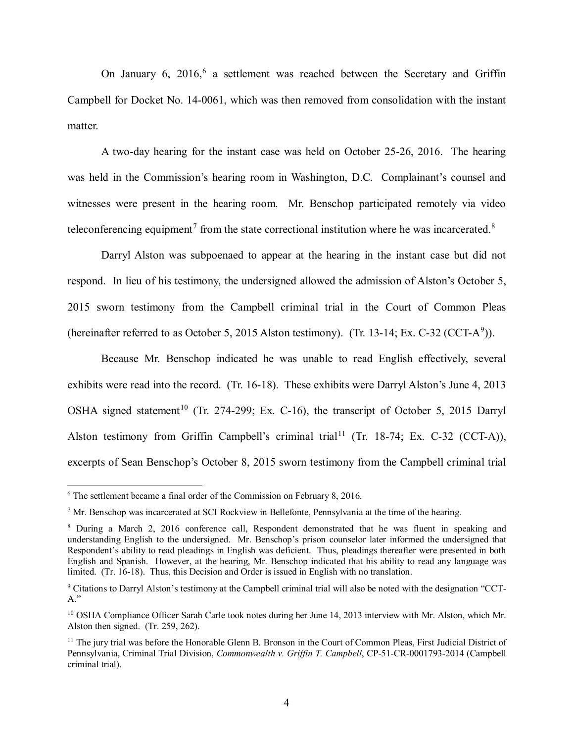On January [6](#page-3-0),  $2016$ , a settlement was reached between the Secretary and Griffin Campbell for Docket No. 14-0061, which was then removed from consolidation with the instant matter.

A two-day hearing for the instant case was held on October 25-26, 2016. The hearing was held in the Commission's hearing room in Washington, D.C. Complainant's counsel and witnesses were present in the hearing room. Mr. Benschop participated remotely via video teleconferencing equipment<sup>[7](#page-3-1)</sup> from the state correctional institution where he was incarcerated.<sup>[8](#page-3-2)</sup>

Darryl Alston was subpoenaed to appear at the hearing in the instant case but did not respond. In lieu of his testimony, the undersigned allowed the admission of Alston's October 5, 2015 sworn testimony from the Campbell criminal trial in the Court of Common Pleas (hereinafter referred to as October 5, 2015 Alston testimony). (Tr. 13-14; Ex. C-32 (CCT-A<sup>[9](#page-3-3)</sup>)).

Because Mr. Benschop indicated he was unable to read English effectively, several exhibits were read into the record. (Tr. 16-18). These exhibits were Darryl Alston's June 4, 2013 OSHA signed statement<sup>[10](#page-3-4)</sup> (Tr. 274-299; Ex. C-16), the transcript of October 5, 2015 Darryl Alston testimony from Griffin Campbell's criminal trial<sup>11</sup> (Tr. 18-74; Ex. C-32 (CCT-A)), excerpts of Sean Benschop's October 8, 2015 sworn testimony from the Campbell criminal trial

<span id="page-3-0"></span> $6$  The settlement became a final order of the Commission on February 8, 2016.

<span id="page-3-1"></span><sup>7</sup> Mr. Benschop was incarcerated at SCI Rockview in Bellefonte, Pennsylvania at the time of the hearing.

<span id="page-3-2"></span><sup>8</sup> During a March 2, 2016 conference call, Respondent demonstrated that he was fluent in speaking and understanding English to the undersigned. Mr. Benschop's prison counselor later informed the undersigned that Respondent's ability to read pleadings in English was deficient. Thus, pleadings thereafter were presented in both English and Spanish. However, at the hearing, Mr. Benschop indicated that his ability to read any language was limited. (Tr. 16-18). Thus, this Decision and Order is issued in English with no translation.

<span id="page-3-3"></span><sup>9</sup> Citations to Darryl Alston's testimony at the Campbell criminal trial will also be noted with the designation "CCT-A."

<span id="page-3-4"></span><sup>&</sup>lt;sup>10</sup> OSHA Compliance Officer Sarah Carle took notes during her June 14, 2013 interview with Mr. Alston, which Mr. Alston then signed. (Tr. 259, 262).

<span id="page-3-5"></span><sup>&</sup>lt;sup>11</sup> The jury trial was before the Honorable Glenn B. Bronson in the Court of Common Pleas, First Judicial District of Pennsylvania, Criminal Trial Division, *Commonwealth v. Griffin T. Campbell*, CP-51-CR-0001793-2014 (Campbell criminal trial).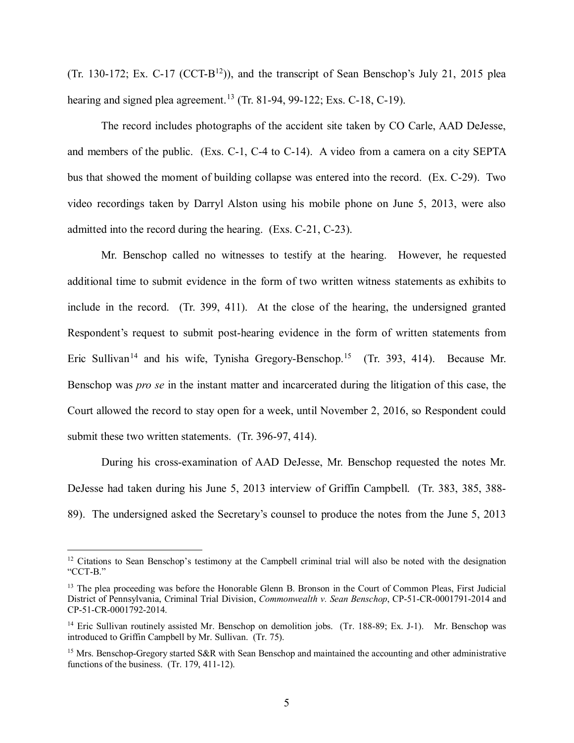(Tr. 130-172; Ex. C-17 (CCT-B<sup>[12](#page-4-0)</sup>)), and the transcript of Sean Benschop's July 21, 2015 plea hearing and signed plea agreement.<sup>[13](#page-4-1)</sup> (Tr. 81-94, 99-122; Exs. C-18, C-19).

The record includes photographs of the accident site taken by CO Carle, AAD DeJesse, and members of the public. (Exs. C-1, C-4 to C-14). A video from a camera on a city SEPTA bus that showed the moment of building collapse was entered into the record. (Ex. C-29). Two video recordings taken by Darryl Alston using his mobile phone on June 5, 2013, were also admitted into the record during the hearing. (Exs. C-21, C-23).

Mr. Benschop called no witnesses to testify at the hearing. However, he requested additional time to submit evidence in the form of two written witness statements as exhibits to include in the record. (Tr. 399, 411). At the close of the hearing, the undersigned granted Respondent's request to submit post-hearing evidence in the form of written statements from Eric Sullivan<sup>[14](#page-4-2)</sup> and his wife, Tynisha Gregory-Benschop.<sup>[15](#page-4-3)</sup> (Tr. 393, 414). Because Mr. Benschop was *pro se* in the instant matter and incarcerated during the litigation of this case, the Court allowed the record to stay open for a week, until November 2, 2016, so Respondent could submit these two written statements. (Tr. 396-97, 414).

During his cross-examination of AAD DeJesse, Mr. Benschop requested the notes Mr. DeJesse had taken during his June 5, 2013 interview of Griffin Campbell. (Tr. 383, 385, 388- 89). The undersigned asked the Secretary's counsel to produce the notes from the June 5, 2013

<span id="page-4-0"></span><sup>&</sup>lt;sup>12</sup> Citations to Sean Benschop's testimony at the Campbell criminal trial will also be noted with the designation "CCT-B."

<span id="page-4-1"></span><sup>&</sup>lt;sup>13</sup> The plea proceeding was before the Honorable Glenn B. Bronson in the Court of Common Pleas, First Judicial District of Pennsylvania, Criminal Trial Division, *Commonwealth v. Sean Benschop*, CP-51-CR-0001791-2014 and CP-51-CR-0001792-2014.

<span id="page-4-2"></span><sup>&</sup>lt;sup>14</sup> Eric Sullivan routinely assisted Mr. Benschop on demolition jobs. (Tr. 188-89; Ex. J-1). Mr. Benschop was introduced to Griffin Campbell by Mr. Sullivan. (Tr. 75).

<span id="page-4-3"></span><sup>&</sup>lt;sup>15</sup> Mrs. Benschop-Gregory started S&R with Sean Benschop and maintained the accounting and other administrative functions of the business. (Tr. 179, 411-12).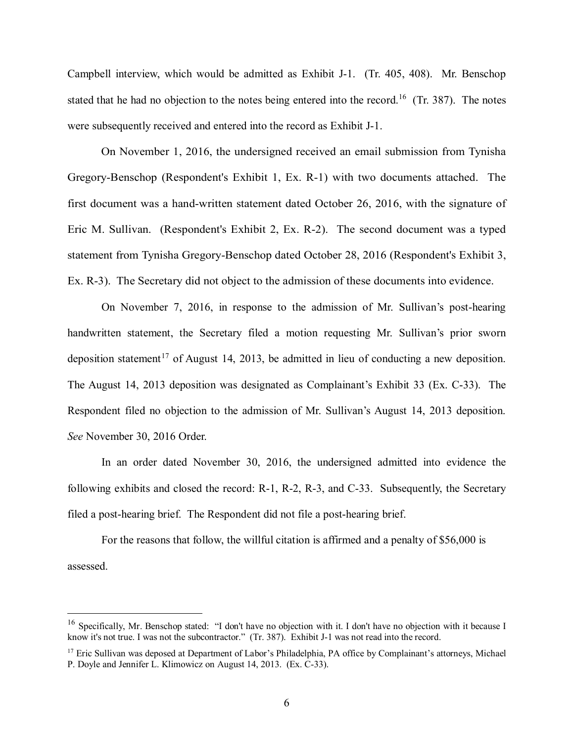Campbell interview, which would be admitted as Exhibit J-1. (Tr. 405, 408). Mr. Benschop stated that he had no objection to the notes being entered into the record.<sup>16</sup> (Tr. 387). The notes were subsequently received and entered into the record as Exhibit J-1.

On November 1, 2016, the undersigned received an email submission from Tynisha Gregory-Benschop (Respondent's Exhibit 1, Ex. R-1) with two documents attached. The first document was a hand-written statement dated October 26, 2016, with the signature of Eric M. Sullivan. (Respondent's Exhibit 2, Ex. R-2). The second document was a typed statement from Tynisha Gregory-Benschop dated October 28, 2016 (Respondent's Exhibit 3, Ex. R-3). The Secretary did not object to the admission of these documents into evidence.

On November 7, 2016, in response to the admission of Mr. Sullivan's post-hearing handwritten statement, the Secretary filed a motion requesting Mr. Sullivan's prior sworn deposition statement<sup>[17](#page-5-1)</sup> of August 14, 2013, be admitted in lieu of conducting a new deposition. The August 14, 2013 deposition was designated as Complainant's Exhibit 33 (Ex. C-33). The Respondent filed no objection to the admission of Mr. Sullivan's August 14, 2013 deposition. *See* November 30, 2016 Order.

In an order dated November 30, 2016, the undersigned admitted into evidence the following exhibits and closed the record: R-1, R-2, R-3, and C-33. Subsequently, the Secretary filed a post-hearing brief. The Respondent did not file a post-hearing brief.

For the reasons that follow, the willful citation is affirmed and a penalty of \$56,000 is assessed.

<span id="page-5-0"></span><sup>&</sup>lt;sup>16</sup> Specifically, Mr. Benschop stated: "I don't have no objection with it. I don't have no objection with it because I know it's not true. I was not the subcontractor." (Tr. 387). Exhibit J-1 was not read into the record.

<span id="page-5-1"></span><sup>&</sup>lt;sup>17</sup> Eric Sullivan was deposed at Department of Labor's Philadelphia, PA office by Complainant's attorneys, Michael P. Doyle and Jennifer L. Klimowicz on August 14, 2013. (Ex. C-33).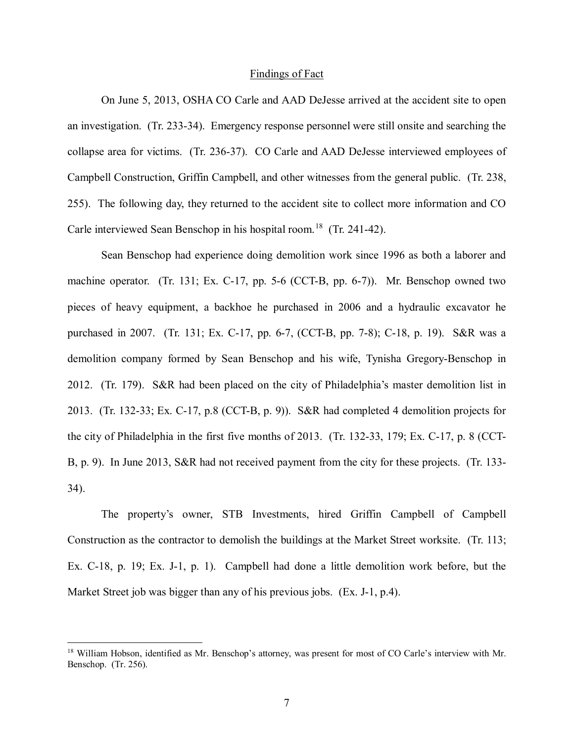#### Findings of Fact

On June 5, 2013, OSHA CO Carle and AAD DeJesse arrived at the accident site to open an investigation. (Tr. 233-34). Emergency response personnel were still onsite and searching the collapse area for victims. (Tr. 236-37). CO Carle and AAD DeJesse interviewed employees of Campbell Construction, Griffin Campbell, and other witnesses from the general public. (Tr. 238, 255). The following day, they returned to the accident site to collect more information and CO Carle interviewed Sean Benschop in his hospital room.<sup>18</sup> (Tr. 241-42).

Sean Benschop had experience doing demolition work since 1996 as both a laborer and machine operator. (Tr. 131; Ex. C-17, pp. 5-6 (CCT-B, pp. 6-7)). Mr. Benschop owned two pieces of heavy equipment, a backhoe he purchased in 2006 and a hydraulic excavator he purchased in 2007. (Tr. 131; Ex. C-17, pp. 6-7, (CCT-B, pp. 7-8); C-18, p. 19). S&R was a demolition company formed by Sean Benschop and his wife, Tynisha Gregory-Benschop in 2012. (Tr. 179). S&R had been placed on the city of Philadelphia's master demolition list in 2013. (Tr. 132-33; Ex. C-17, p.8 (CCT-B, p. 9)). S&R had completed 4 demolition projects for the city of Philadelphia in the first five months of 2013. (Tr. 132-33, 179; Ex. C-17, p. 8 (CCT-B, p. 9). In June 2013, S&R had not received payment from the city for these projects. (Tr. 133- 34).

The property's owner, STB Investments, hired Griffin Campbell of Campbell Construction as the contractor to demolish the buildings at the Market Street worksite. (Tr. 113; Ex. C-18, p. 19; Ex. J-1, p. 1). Campbell had done a little demolition work before, but the Market Street job was bigger than any of his previous jobs. (Ex. J-1, p.4).

<span id="page-6-0"></span><sup>&</sup>lt;sup>18</sup> William Hobson, identified as Mr. Benschop's attorney, was present for most of CO Carle's interview with Mr. Benschop. (Tr. 256).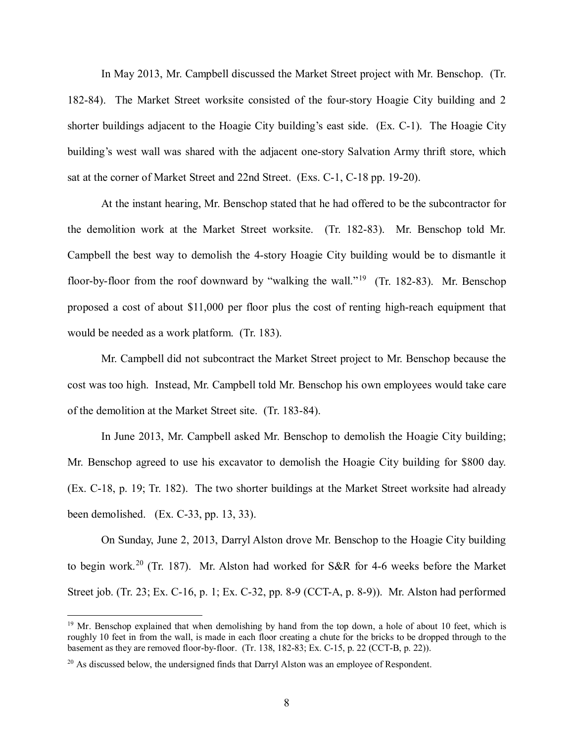In May 2013, Mr. Campbell discussed the Market Street project with Mr. Benschop. (Tr. 182-84). The Market Street worksite consisted of the four-story Hoagie City building and 2 shorter buildings adjacent to the Hoagie City building's east side. (Ex. C-1). The Hoagie City building's west wall was shared with the adjacent one-story Salvation Army thrift store, which sat at the corner of Market Street and 22nd Street. (Exs. C-1, C-18 pp. 19-20).

At the instant hearing, Mr. Benschop stated that he had offered to be the subcontractor for the demolition work at the Market Street worksite. (Tr. 182-83). Mr. Benschop told Mr. Campbell the best way to demolish the 4-story Hoagie City building would be to dismantle it floor-by-floor from the roof downward by "walking the wall."<sup>19</sup> (Tr. 182-83). Mr. Benschop proposed a cost of about \$11,000 per floor plus the cost of renting high-reach equipment that would be needed as a work platform. (Tr. 183).

Mr. Campbell did not subcontract the Market Street project to Mr. Benschop because the cost was too high. Instead, Mr. Campbell told Mr. Benschop his own employees would take care of the demolition at the Market Street site. (Tr. 183-84).

In June 2013, Mr. Campbell asked Mr. Benschop to demolish the Hoagie City building; Mr. Benschop agreed to use his excavator to demolish the Hoagie City building for \$800 day. (Ex. C-18, p. 19; Tr. 182). The two shorter buildings at the Market Street worksite had already been demolished. (Ex. C-33, pp. 13, 33).

On Sunday, June 2, 2013, Darryl Alston drove Mr. Benschop to the Hoagie City building to begin work.<sup>[20](#page-7-1)</sup> (Tr. 187). Mr. Alston had worked for S&R for 4-6 weeks before the Market Street job. (Tr. 23; Ex. C-16, p. 1; Ex. C-32, pp. 8-9 (CCT-A, p. 8-9)). Mr. Alston had performed

<span id="page-7-0"></span><sup>&</sup>lt;sup>19</sup> Mr. Benschop explained that when demolishing by hand from the top down, a hole of about 10 feet, which is roughly 10 feet in from the wall, is made in each floor creating a chute for the bricks to be dropped through to the basement as they are removed floor-by-floor. (Tr. 138, 182-83; Ex. C-15, p. 22 (CCT-B, p. 22)).

<span id="page-7-1"></span> $^{20}$  As discussed below, the undersigned finds that Darryl Alston was an employee of Respondent.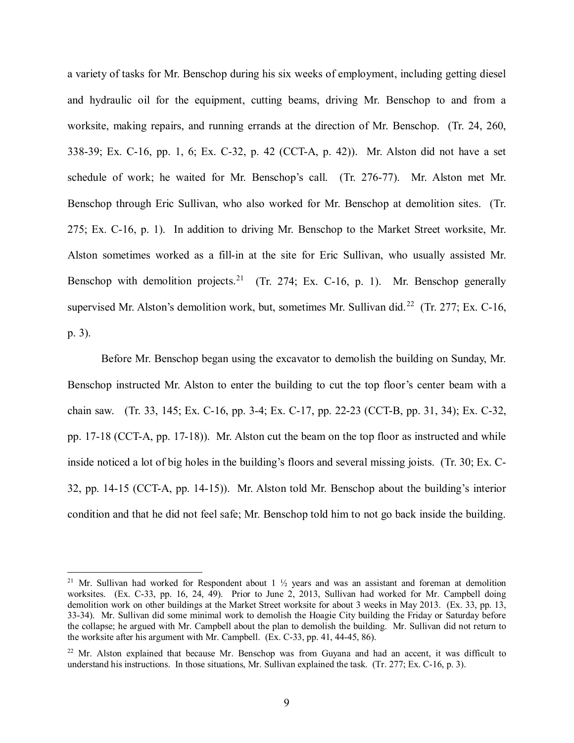a variety of tasks for Mr. Benschop during his six weeks of employment, including getting diesel and hydraulic oil for the equipment, cutting beams, driving Mr. Benschop to and from a worksite, making repairs, and running errands at the direction of Mr. Benschop. (Tr. 24, 260, 338-39; Ex. C-16, pp. 1, 6; Ex. C-32, p. 42 (CCT-A, p. 42)). Mr. Alston did not have a set schedule of work; he waited for Mr. Benschop's call. (Tr. 276-77). Mr. Alston met Mr. Benschop through Eric Sullivan, who also worked for Mr. Benschop at demolition sites. (Tr. 275; Ex. C-16, p. 1). In addition to driving Mr. Benschop to the Market Street worksite, Mr. Alston sometimes worked as a fill-in at the site for Eric Sullivan, who usually assisted Mr. Benschop with demolition projects.<sup>[21](#page-8-0)</sup> (Tr. 274; Ex. C-16, p. 1). Mr. Benschop generally supervised Mr. Alston's demolition work, but, sometimes Mr. Sullivan did.<sup>[22](#page-8-1)</sup> (Tr. 277; Ex. C-16, p. 3).

Before Mr. Benschop began using the excavator to demolish the building on Sunday, Mr. Benschop instructed Mr. Alston to enter the building to cut the top floor's center beam with a chain saw. (Tr. 33, 145; Ex. C-16, pp. 3-4; Ex. C-17, pp. 22-23 (CCT-B, pp. 31, 34); Ex. C-32, pp. 17-18 (CCT-A, pp. 17-18)). Mr. Alston cut the beam on the top floor as instructed and while inside noticed a lot of big holes in the building's floors and several missing joists. (Tr. 30; Ex. C-32, pp. 14-15 (CCT-A, pp. 14-15)). Mr. Alston told Mr. Benschop about the building's interior condition and that he did not feel safe; Mr. Benschop told him to not go back inside the building.

<span id="page-8-0"></span><sup>&</sup>lt;sup>21</sup> Mr. Sullivan had worked for Respondent about  $1\frac{1}{2}$  years and was an assistant and foreman at demolition worksites. (Ex. C-33, pp. 16, 24, 49). Prior to June 2, 2013, Sullivan had worked for Mr. Campbell doing demolition work on other buildings at the Market Street worksite for about 3 weeks in May 2013. (Ex. 33, pp. 13, 33-34). Mr. Sullivan did some minimal work to demolish the Hoagie City building the Friday or Saturday before the collapse; he argued with Mr. Campbell about the plan to demolish the building. Mr. Sullivan did not return to the worksite after his argument with Mr. Campbell. (Ex. C-33, pp. 41, 44-45, 86).

<span id="page-8-1"></span><sup>&</sup>lt;sup>22</sup> Mr. Alston explained that because Mr. Benschop was from Guyana and had an accent, it was difficult to understand his instructions. In those situations, Mr. Sullivan explained the task. (Tr. 277; Ex. C-16, p. 3).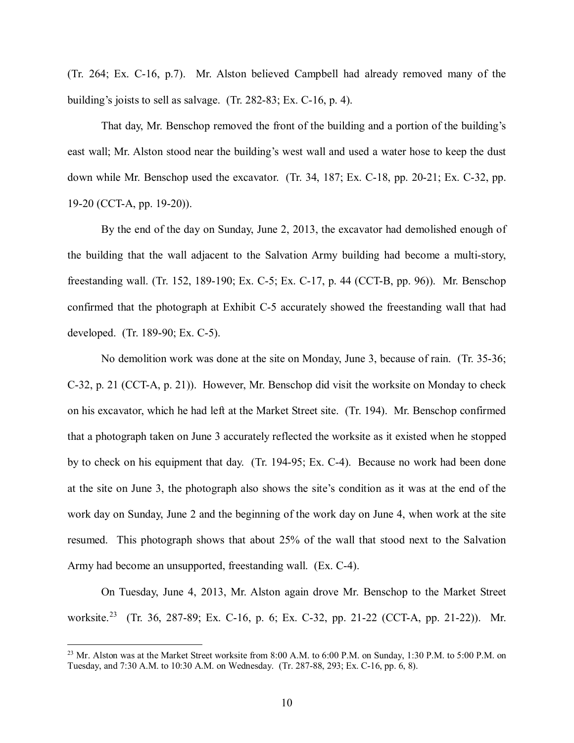(Tr. 264; Ex. C-16, p.7). Mr. Alston believed Campbell had already removed many of the building's joists to sell as salvage. (Tr. 282-83; Ex. C-16, p. 4).

That day, Mr. Benschop removed the front of the building and a portion of the building's east wall; Mr. Alston stood near the building's west wall and used a water hose to keep the dust down while Mr. Benschop used the excavator. (Tr. 34, 187; Ex. C-18, pp. 20-21; Ex. C-32, pp. 19-20 (CCT-A, pp. 19-20)).

By the end of the day on Sunday, June 2, 2013, the excavator had demolished enough of the building that the wall adjacent to the Salvation Army building had become a multi-story, freestanding wall. (Tr. 152, 189-190; Ex. C-5; Ex. C-17, p. 44 (CCT-B, pp. 96)). Mr. Benschop confirmed that the photograph at Exhibit C-5 accurately showed the freestanding wall that had developed. (Tr. 189-90; Ex. C-5).

No demolition work was done at the site on Monday, June 3, because of rain. (Tr. 35-36; C-32, p. 21 (CCT-A, p. 21)). However, Mr. Benschop did visit the worksite on Monday to check on his excavator, which he had left at the Market Street site. (Tr. 194). Mr. Benschop confirmed that a photograph taken on June 3 accurately reflected the worksite as it existed when he stopped by to check on his equipment that day. (Tr. 194-95; Ex. C-4). Because no work had been done at the site on June 3, the photograph also shows the site's condition as it was at the end of the work day on Sunday, June 2 and the beginning of the work day on June 4, when work at the site resumed. This photograph shows that about 25% of the wall that stood next to the Salvation Army had become an unsupported, freestanding wall. (Ex. C-4).

On Tuesday, June 4, 2013, Mr. Alston again drove Mr. Benschop to the Market Street worksite.[23](#page-9-0) (Tr. 36, 287-89; Ex. C-16, p. 6; Ex. C-32, pp. 21-22 (CCT-A, pp. 21-22)). Mr.

<span id="page-9-0"></span><sup>&</sup>lt;sup>23</sup> Mr. Alston was at the Market Street worksite from 8:00 A.M. to 6:00 P.M. on Sunday, 1:30 P.M. to 5:00 P.M. on Tuesday, and 7:30 A.M. to 10:30 A.M. on Wednesday. (Tr. 287-88, 293; Ex. C-16, pp. 6, 8).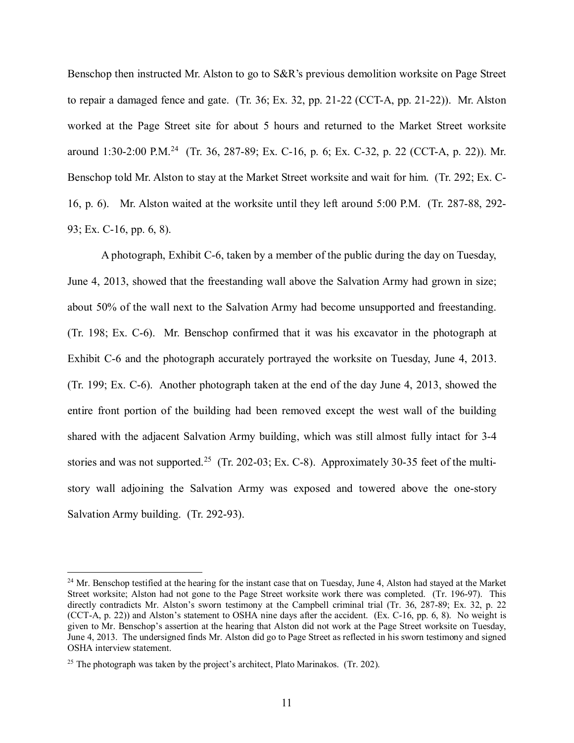Benschop then instructed Mr. Alston to go to S&R's previous demolition worksite on Page Street to repair a damaged fence and gate. (Tr. 36; Ex. 32, pp. 21-22 (CCT-A, pp. 21-22)). Mr. Alston worked at the Page Street site for about 5 hours and returned to the Market Street worksite around 1:30-2:00 P.M.<sup>24</sup> (Tr. 36, 287-89; Ex. C-16, p. 6; Ex. C-32, p. 22 (CCT-A, p. 22)). Mr. Benschop told Mr. Alston to stay at the Market Street worksite and wait for him. (Tr. 292; Ex. C-16, p. 6). Mr. Alston waited at the worksite until they left around 5:00 P.M. (Tr. 287-88, 292- 93; Ex. C-16, pp. 6, 8).

A photograph, Exhibit C-6, taken by a member of the public during the day on Tuesday, June 4, 2013, showed that the freestanding wall above the Salvation Army had grown in size; about 50% of the wall next to the Salvation Army had become unsupported and freestanding. (Tr. 198; Ex. C-6). Mr. Benschop confirmed that it was his excavator in the photograph at Exhibit C-6 and the photograph accurately portrayed the worksite on Tuesday, June 4, 2013. (Tr. 199; Ex. C-6). Another photograph taken at the end of the day June 4, 2013, showed the entire front portion of the building had been removed except the west wall of the building shared with the adjacent Salvation Army building, which was still almost fully intact for 3-4 stories and was not supported.<sup>25</sup> (Tr. 202-03; Ex. C-8). Approximately 30-35 feet of the multistory wall adjoining the Salvation Army was exposed and towered above the one-story Salvation Army building. (Tr. 292-93).

<span id="page-10-0"></span><sup>&</sup>lt;sup>24</sup> Mr. Benschop testified at the hearing for the instant case that on Tuesday, June 4, Alston had stayed at the Market Street worksite; Alston had not gone to the Page Street worksite work there was completed. (Tr. 196-97). This directly contradicts Mr. Alston's sworn testimony at the Campbell criminal trial (Tr. 36, 287-89; Ex. 32, p. 22 (CCT-A, p. 22)) and Alston's statement to OSHA nine days after the accident. (Ex. C-16, pp. 6, 8). No weight is given to Mr. Benschop's assertion at the hearing that Alston did not work at the Page Street worksite on Tuesday, June 4, 2013. The undersigned finds Mr. Alston did go to Page Street as reflected in his sworn testimony and signed OSHA interview statement.

<span id="page-10-1"></span><sup>&</sup>lt;sup>25</sup> The photograph was taken by the project's architect, Plato Marinakos. (Tr. 202).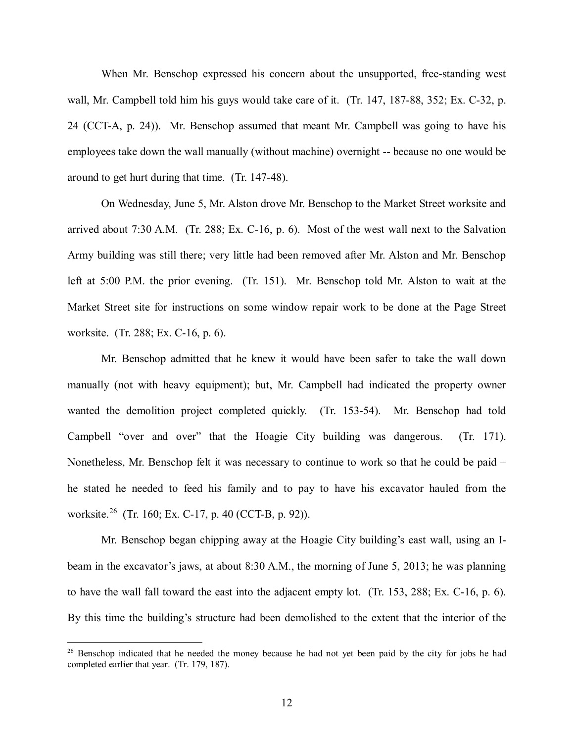When Mr. Benschop expressed his concern about the unsupported, free-standing west wall, Mr. Campbell told him his guys would take care of it. (Tr. 147, 187-88, 352; Ex. C-32, p. 24 (CCT-A, p. 24)). Mr. Benschop assumed that meant Mr. Campbell was going to have his employees take down the wall manually (without machine) overnight -- because no one would be around to get hurt during that time. (Tr. 147-48).

On Wednesday, June 5, Mr. Alston drove Mr. Benschop to the Market Street worksite and arrived about 7:30 A.M. (Tr. 288; Ex. C-16, p. 6). Most of the west wall next to the Salvation Army building was still there; very little had been removed after Mr. Alston and Mr. Benschop left at 5:00 P.M. the prior evening. (Tr. 151). Mr. Benschop told Mr. Alston to wait at the Market Street site for instructions on some window repair work to be done at the Page Street worksite. (Tr. 288; Ex. C-16, p. 6).

Mr. Benschop admitted that he knew it would have been safer to take the wall down manually (not with heavy equipment); but, Mr. Campbell had indicated the property owner wanted the demolition project completed quickly. (Tr. 153-54). Mr. Benschop had told Campbell "over and over" that the Hoagie City building was dangerous. (Tr. 171). Nonetheless, Mr. Benschop felt it was necessary to continue to work so that he could be paid – he stated he needed to feed his family and to pay to have his excavator hauled from the worksite.[26](#page-11-0) (Tr. 160; Ex. C-17, p. 40 (CCT-B, p. 92)).

Mr. Benschop began chipping away at the Hoagie City building's east wall, using an Ibeam in the excavator's jaws, at about 8:30 A.M., the morning of June 5, 2013; he was planning to have the wall fall toward the east into the adjacent empty lot. (Tr. 153, 288; Ex. C-16, p. 6). By this time the building's structure had been demolished to the extent that the interior of the

<span id="page-11-0"></span><sup>&</sup>lt;sup>26</sup> Benschop indicated that he needed the money because he had not yet been paid by the city for jobs he had completed earlier that year. (Tr. 179, 187).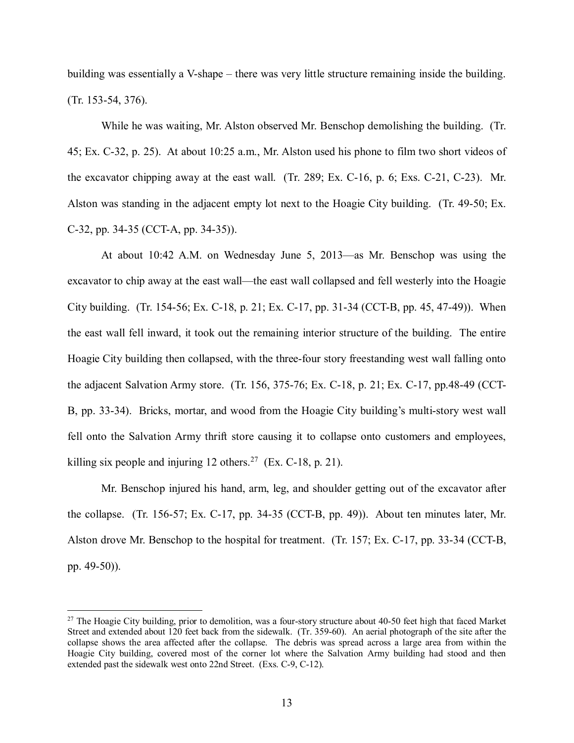building was essentially a V-shape – there was very little structure remaining inside the building. (Tr. 153-54, 376).

While he was waiting, Mr. Alston observed Mr. Benschop demolishing the building. (Tr. 45; Ex. C-32, p. 25). At about 10:25 a.m., Mr. Alston used his phone to film two short videos of the excavator chipping away at the east wall. (Tr. 289; Ex. C-16, p. 6; Exs. C-21, C-23). Mr. Alston was standing in the adjacent empty lot next to the Hoagie City building. (Tr. 49-50; Ex. C-32, pp. 34-35 (CCT-A, pp. 34-35)).

At about 10:42 A.M. on Wednesday June 5, 2013—as Mr. Benschop was using the excavator to chip away at the east wall—the east wall collapsed and fell westerly into the Hoagie City building. (Tr. 154-56; Ex. C-18, p. 21; Ex. C-17, pp. 31-34 (CCT-B, pp. 45, 47-49)). When the east wall fell inward, it took out the remaining interior structure of the building. The entire Hoagie City building then collapsed, with the three-four story freestanding west wall falling onto the adjacent Salvation Army store. (Tr. 156, 375-76; Ex. C-18, p. 21; Ex. C-17, pp.48-49 (CCT-B, pp. 33-34). Bricks, mortar, and wood from the Hoagie City building's multi-story west wall fell onto the Salvation Army thrift store causing it to collapse onto customers and employees, killing six people and injuring 12 others.<sup>27</sup> (Ex. C-18, p. 21).

Mr. Benschop injured his hand, arm, leg, and shoulder getting out of the excavator after the collapse. (Tr. 156-57; Ex. C-17, pp. 34-35 (CCT-B, pp. 49)). About ten minutes later, Mr. Alston drove Mr. Benschop to the hospital for treatment. (Tr. 157; Ex. C-17, pp. 33-34 (CCT-B, pp. 49-50)).

<span id="page-12-0"></span><sup>&</sup>lt;sup>27</sup> The Hoagie City building, prior to demolition, was a four-story structure about 40-50 feet high that faced Market Street and extended about 120 feet back from the sidewalk. (Tr. 359-60). An aerial photograph of the site after the collapse shows the area affected after the collapse. The debris was spread across a large area from within the Hoagie City building, covered most of the corner lot where the Salvation Army building had stood and then extended past the sidewalk west onto 22nd Street. (Exs. C-9, C-12).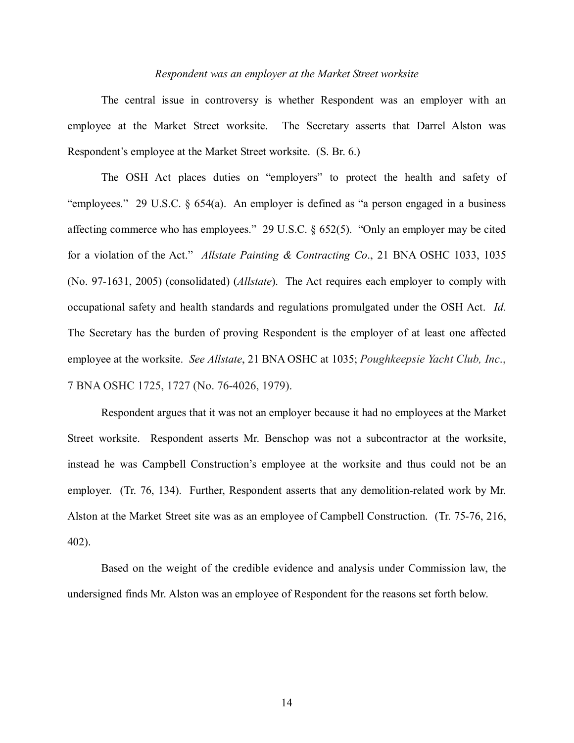### *Respondent was an employer at the Market Street worksite*

The central issue in controversy is whether Respondent was an employer with an employee at the Market Street worksite. The Secretary asserts that Darrel Alston was Respondent's employee at the Market Street worksite. (S. Br. 6.)

The OSH Act places duties on "employers" to protect the health and safety of "employees." 29 U.S.C. § 654(a). An employer is defined as "a person engaged in a business affecting commerce who has employees." 29 U.S.C. § 652(5). "Only an employer may be cited for a violation of the Act." *Allstate Painting & Contracting Co*., 21 BNA OSHC 1033, 1035 (No. 97-1631, 2005) (consolidated) (*Allstate*). The Act requires each employer to comply with occupational safety and health standards and regulations promulgated under the OSH Act. *Id.*  The Secretary has the burden of proving Respondent is the employer of at least one affected employee at the worksite. *See Allstate*, 21 BNA OSHC at 1035; *Poughkeepsie Yacht Club, Inc*., 7 BNA OSHC 1725, 1727 (No. 76-4026, 1979).

Respondent argues that it was not an employer because it had no employees at the Market Street worksite. Respondent asserts Mr. Benschop was not a subcontractor at the worksite, instead he was Campbell Construction's employee at the worksite and thus could not be an employer. (Tr. 76, 134). Further, Respondent asserts that any demolition-related work by Mr. Alston at the Market Street site was as an employee of Campbell Construction. (Tr. 75-76, 216, 402).

Based on the weight of the credible evidence and analysis under Commission law, the undersigned finds Mr. Alston was an employee of Respondent for the reasons set forth below.

14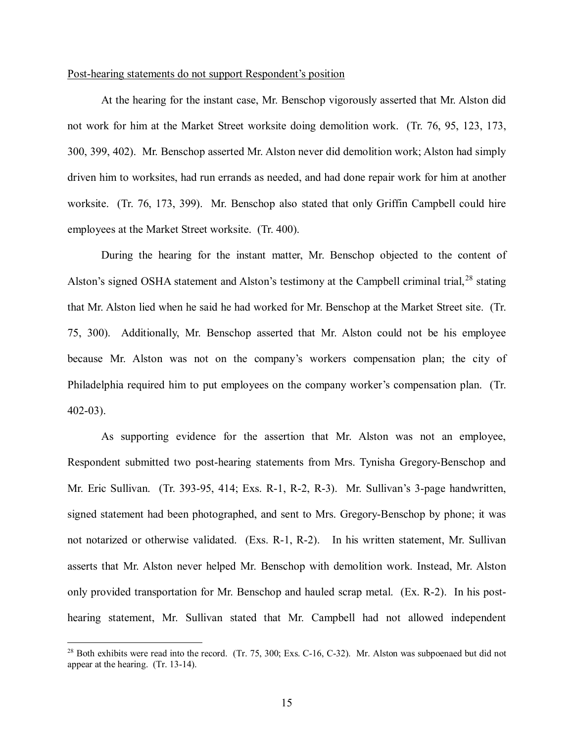#### Post-hearing statements do not support Respondent's position

At the hearing for the instant case, Mr. Benschop vigorously asserted that Mr. Alston did not work for him at the Market Street worksite doing demolition work. (Tr. 76, 95, 123, 173, 300, 399, 402). Mr. Benschop asserted Mr. Alston never did demolition work; Alston had simply driven him to worksites, had run errands as needed, and had done repair work for him at another worksite. (Tr. 76, 173, 399). Mr. Benschop also stated that only Griffin Campbell could hire employees at the Market Street worksite. (Tr. 400).

During the hearing for the instant matter, Mr. Benschop objected to the content of Alston's signed OSHA statement and Alston's testimony at the Campbell criminal trial, $^{28}$  $^{28}$  $^{28}$  stating that Mr. Alston lied when he said he had worked for Mr. Benschop at the Market Street site. (Tr. 75, 300). Additionally, Mr. Benschop asserted that Mr. Alston could not be his employee because Mr. Alston was not on the company's workers compensation plan; the city of Philadelphia required him to put employees on the company worker's compensation plan. (Tr. 402-03).

As supporting evidence for the assertion that Mr. Alston was not an employee, Respondent submitted two post-hearing statements from Mrs. Tynisha Gregory-Benschop and Mr. Eric Sullivan. (Tr. 393-95, 414; Exs. R-1, R-2, R-3). Mr. Sullivan's 3-page handwritten, signed statement had been photographed, and sent to Mrs. Gregory-Benschop by phone; it was not notarized or otherwise validated. (Exs. R-1, R-2). In his written statement, Mr. Sullivan asserts that Mr. Alston never helped Mr. Benschop with demolition work. Instead, Mr. Alston only provided transportation for Mr. Benschop and hauled scrap metal. (Ex. R-2). In his posthearing statement, Mr. Sullivan stated that Mr. Campbell had not allowed independent

<span id="page-14-0"></span><sup>&</sup>lt;sup>28</sup> Both exhibits were read into the record. (Tr. 75, 300; Exs. C-16, C-32). Mr. Alston was subpoenaed but did not appear at the hearing. (Tr. 13-14).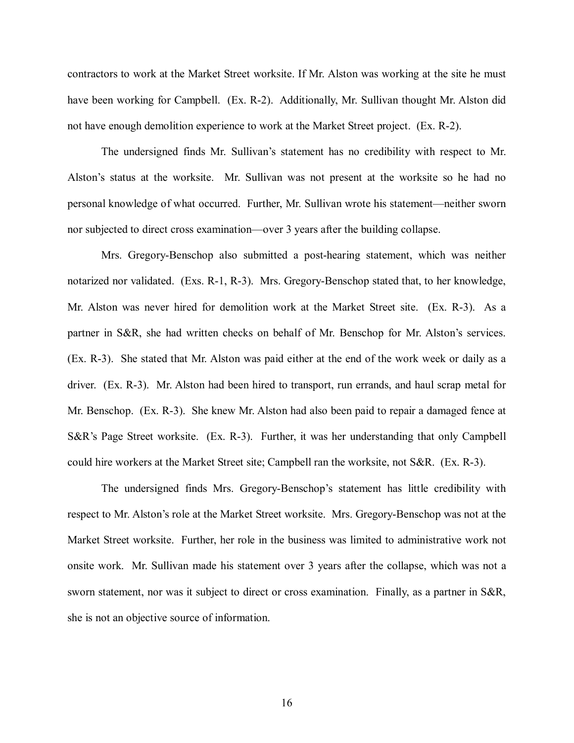contractors to work at the Market Street worksite. If Mr. Alston was working at the site he must have been working for Campbell. (Ex. R-2). Additionally, Mr. Sullivan thought Mr. Alston did not have enough demolition experience to work at the Market Street project. (Ex. R-2).

The undersigned finds Mr. Sullivan's statement has no credibility with respect to Mr. Alston's status at the worksite. Mr. Sullivan was not present at the worksite so he had no personal knowledge of what occurred. Further, Mr. Sullivan wrote his statement—neither sworn nor subjected to direct cross examination—over 3 years after the building collapse.

 Mrs. Gregory-Benschop also submitted a post-hearing statement, which was neither notarized nor validated. (Exs. R-1, R-3). Mrs. Gregory-Benschop stated that, to her knowledge, Mr. Alston was never hired for demolition work at the Market Street site. (Ex. R-3). As a partner in S&R, she had written checks on behalf of Mr. Benschop for Mr. Alston's services. (Ex. R-3). She stated that Mr. Alston was paid either at the end of the work week or daily as a driver. (Ex. R-3). Mr. Alston had been hired to transport, run errands, and haul scrap metal for Mr. Benschop. (Ex. R-3). She knew Mr. Alston had also been paid to repair a damaged fence at S&R's Page Street worksite. (Ex. R-3). Further, it was her understanding that only Campbell could hire workers at the Market Street site; Campbell ran the worksite, not S&R. (Ex. R-3).

The undersigned finds Mrs. Gregory-Benschop's statement has little credibility with respect to Mr. Alston's role at the Market Street worksite. Mrs. Gregory-Benschop was not at the Market Street worksite. Further, her role in the business was limited to administrative work not onsite work. Mr. Sullivan made his statement over 3 years after the collapse, which was not a sworn statement, nor was it subject to direct or cross examination. Finally, as a partner in S&R, she is not an objective source of information.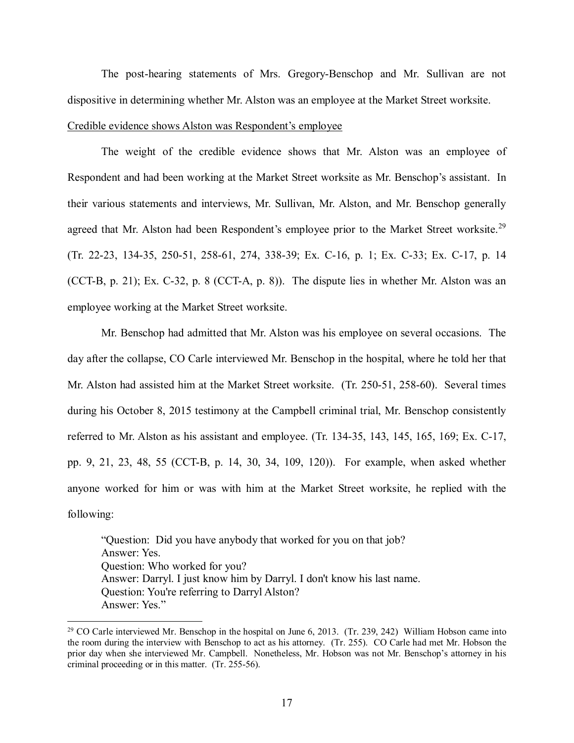The post-hearing statements of Mrs. Gregory-Benschop and Mr. Sullivan are not dispositive in determining whether Mr. Alston was an employee at the Market Street worksite. Credible evidence shows Alston was Respondent's employee

 The weight of the credible evidence shows that Mr. Alston was an employee of Respondent and had been working at the Market Street worksite as Mr. Benschop's assistant. In their various statements and interviews, Mr. Sullivan, Mr. Alston, and Mr. Benschop generally agreed that Mr. Alston had been Respondent's employee prior to the Market Street worksite.<sup>[29](#page-16-0)</sup> (Tr. 22-23, 134-35, 250-51, 258-61, 274, 338-39; Ex. C-16, p. 1; Ex. C-33; Ex. C-17, p. 14 (CCT-B, p. 21); Ex. C-32, p. 8 (CCT-A, p. 8)). The dispute lies in whether Mr. Alston was an employee working at the Market Street worksite.

Mr. Benschop had admitted that Mr. Alston was his employee on several occasions. The day after the collapse, CO Carle interviewed Mr. Benschop in the hospital, where he told her that Mr. Alston had assisted him at the Market Street worksite. (Tr. 250-51, 258-60). Several times during his October 8, 2015 testimony at the Campbell criminal trial, Mr. Benschop consistently referred to Mr. Alston as his assistant and employee. (Tr. 134-35, 143, 145, 165, 169; Ex. C-17, pp. 9, 21, 23, 48, 55 (CCT-B, p. 14, 30, 34, 109, 120)). For example, when asked whether anyone worked for him or was with him at the Market Street worksite, he replied with the following:

"Question: Did you have anybody that worked for you on that job? Answer: Yes. Question: Who worked for you? Answer: Darryl. I just know him by Darryl. I don't know his last name. Question: You're referring to Darryl Alston? Answer: Yes."

<span id="page-16-0"></span><sup>&</sup>lt;sup>29</sup> CO Carle interviewed Mr. Benschop in the hospital on June 6, 2013. (Tr. 239, 242) William Hobson came into the room during the interview with Benschop to act as his attorney. (Tr. 255). CO Carle had met Mr. Hobson the prior day when she interviewed Mr. Campbell. Nonetheless, Mr. Hobson was not Mr. Benschop's attorney in his criminal proceeding or in this matter. (Tr. 255-56).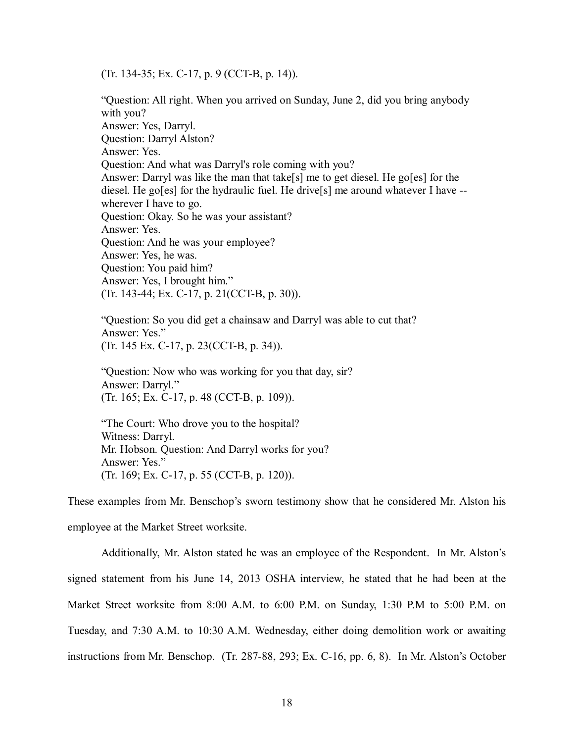(Tr. 134-35; Ex. C-17, p. 9 (CCT-B, p. 14)).

"Question: All right. When you arrived on Sunday, June 2, did you bring anybody with you? Answer: Yes, Darryl. Question: Darryl Alston? Answer: Yes. Question: And what was Darryl's role coming with you? Answer: Darryl was like the man that take<sup>[s]</sup> me to get diesel. He go<sup>[es]</sup> for the diesel. He go[es] for the hydraulic fuel. He drive[s] me around whatever I have -wherever I have to go. Question: Okay. So he was your assistant? Answer: Yes. Question: And he was your employee? Answer: Yes, he was. Question: You paid him? Answer: Yes, I brought him." (Tr. 143-44; Ex. C-17, p. 21(CCT-B, p. 30)).

"Question: So you did get a chainsaw and Darryl was able to cut that? Answer: Yes." (Tr. 145 Ex. C-17, p. 23(CCT-B, p. 34)).

"Question: Now who was working for you that day, sir? Answer: Darryl." (Tr. 165; Ex. C-17, p. 48 (CCT-B, p. 109)).

"The Court: Who drove you to the hospital? Witness: Darryl. Mr. Hobson. Question: And Darryl works for you? Answer: Yes." (Tr. 169; Ex. C-17, p. 55 (CCT-B, p. 120)).

These examples from Mr. Benschop's sworn testimony show that he considered Mr. Alston his

employee at the Market Street worksite.

Additionally, Mr. Alston stated he was an employee of the Respondent. In Mr. Alston's signed statement from his June 14, 2013 OSHA interview, he stated that he had been at the Market Street worksite from 8:00 A.M. to 6:00 P.M. on Sunday, 1:30 P.M to 5:00 P.M. on Tuesday, and 7:30 A.M. to 10:30 A.M. Wednesday, either doing demolition work or awaiting instructions from Mr. Benschop. (Tr. 287-88, 293; Ex. C-16, pp. 6, 8). In Mr. Alston's October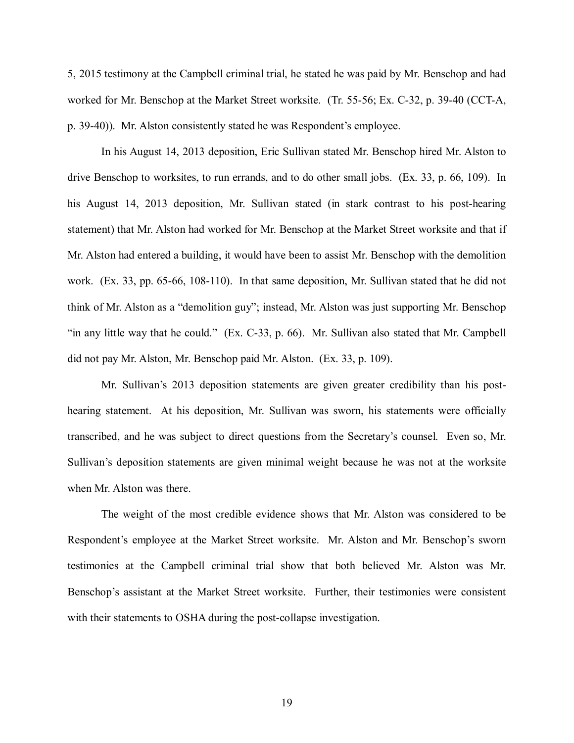5, 2015 testimony at the Campbell criminal trial, he stated he was paid by Mr. Benschop and had worked for Mr. Benschop at the Market Street worksite. (Tr. 55-56; Ex. C-32, p. 39-40 (CCT-A, p. 39-40)). Mr. Alston consistently stated he was Respondent's employee.

In his August 14, 2013 deposition, Eric Sullivan stated Mr. Benschop hired Mr. Alston to drive Benschop to worksites, to run errands, and to do other small jobs. (Ex. 33, p. 66, 109). In his August 14, 2013 deposition, Mr. Sullivan stated (in stark contrast to his post-hearing statement) that Mr. Alston had worked for Mr. Benschop at the Market Street worksite and that if Mr. Alston had entered a building, it would have been to assist Mr. Benschop with the demolition work. (Ex. 33, pp. 65-66, 108-110). In that same deposition, Mr. Sullivan stated that he did not think of Mr. Alston as a "demolition guy"; instead, Mr. Alston was just supporting Mr. Benschop "in any little way that he could." (Ex. C-33, p. 66). Mr. Sullivan also stated that Mr. Campbell did not pay Mr. Alston, Mr. Benschop paid Mr. Alston. (Ex. 33, p. 109).

Mr. Sullivan's 2013 deposition statements are given greater credibility than his posthearing statement. At his deposition, Mr. Sullivan was sworn, his statements were officially transcribed, and he was subject to direct questions from the Secretary's counsel. Even so, Mr. Sullivan's deposition statements are given minimal weight because he was not at the worksite when Mr. Alston was there.

The weight of the most credible evidence shows that Mr. Alston was considered to be Respondent's employee at the Market Street worksite. Mr. Alston and Mr. Benschop's sworn testimonies at the Campbell criminal trial show that both believed Mr. Alston was Mr. Benschop's assistant at the Market Street worksite. Further, their testimonies were consistent with their statements to OSHA during the post-collapse investigation.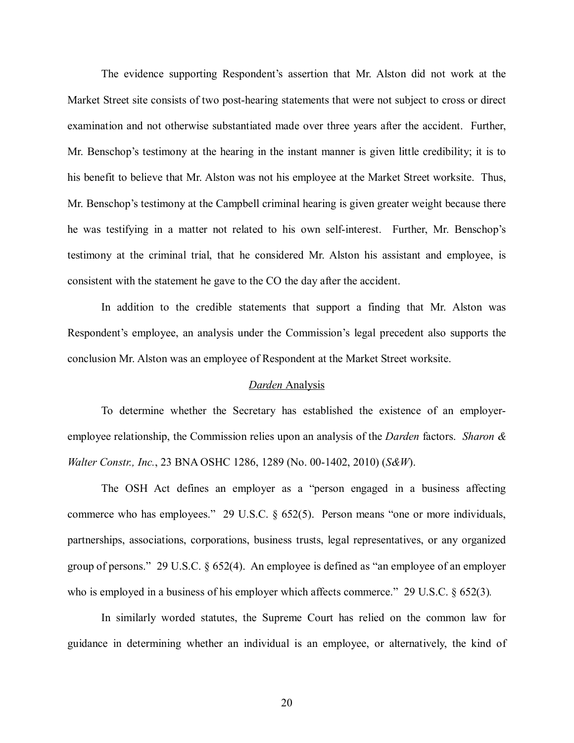The evidence supporting Respondent's assertion that Mr. Alston did not work at the Market Street site consists of two post-hearing statements that were not subject to cross or direct examination and not otherwise substantiated made over three years after the accident. Further, Mr. Benschop's testimony at the hearing in the instant manner is given little credibility; it is to his benefit to believe that Mr. Alston was not his employee at the Market Street worksite. Thus, Mr. Benschop's testimony at the Campbell criminal hearing is given greater weight because there he was testifying in a matter not related to his own self-interest. Further, Mr. Benschop's testimony at the criminal trial, that he considered Mr. Alston his assistant and employee, is consistent with the statement he gave to the CO the day after the accident.

In addition to the credible statements that support a finding that Mr. Alston was Respondent's employee, an analysis under the Commission's legal precedent also supports the conclusion Mr. Alston was an employee of Respondent at the Market Street worksite.

#### *Darden* Analysis

To determine whether the Secretary has established the existence of an employeremployee relationship, the Commission relies upon an analysis of the *Darden* factors. *Sharon & Walter Constr., Inc.*, 23 BNA OSHC 1286, 1289 (No. 00-1402, 2010) (*S&W*).

The OSH Act defines an employer as a "person engaged in a business affecting commerce who has employees." 29 U.S.C. § 652(5). Person means "one or more individuals, partnerships, associations, corporations, business trusts, legal representatives, or any organized group of persons." 29 U.S.C. § 652(4). An employee is defined as "an employee of an employer who is employed in a business of his employer which affects commerce." 29 U.S.C. § 652(3).

In similarly worded statutes, the Supreme Court has relied on the common law for guidance in determining whether an individual is an employee, or alternatively, the kind of

20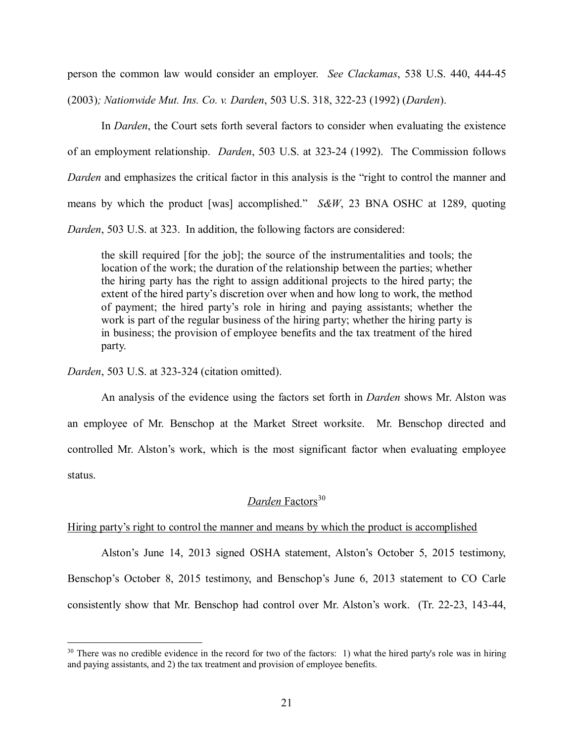person the common law would consider an employer. *See Clackamas*, 538 U.S. 440, 444-45 (2003)*; Nationwide Mut. Ins. Co. v. Darden*, 503 U.S. 318, 322-23 (1992) (*Darden*).

In *Darden*, the Court sets forth several factors to consider when evaluating the existence of an employment relationship. *Darden*, 503 U.S. at 323-24 (1992). The Commission follows *Darden* and emphasizes the critical factor in this analysis is the "right to control the manner and means by which the product [was] accomplished." *S&W*, 23 BNA OSHC at 1289, quoting *Darden*, 503 U.S. at 323. In addition, the following factors are considered:

the skill required [for the job]; the source of the instrumentalities and tools; the location of the work; the duration of the relationship between the parties; whether the hiring party has the right to assign additional projects to the hired party; the extent of the hired party's discretion over when and how long to work, the method of payment; the hired party's role in hiring and paying assistants; whether the work is part of the regular business of the hiring party; whether the hiring party is in business; the provision of employee benefits and the tax treatment of the hired party.

*Darden*, 503 U.S. at 323-324 (citation omitted).

 $\overline{a}$ 

An analysis of the evidence using the factors set forth in *Darden* shows Mr. Alston was an employee of Mr. Benschop at the Market Street worksite. Mr. Benschop directed and controlled Mr. Alston's work, which is the most significant factor when evaluating employee status.

# *Darden* Factors<sup>[30](#page-20-0)</sup>

#### Hiring party's right to control the manner and means by which the product is accomplished

Alston's June 14, 2013 signed OSHA statement, Alston's October 5, 2015 testimony, Benschop's October 8, 2015 testimony, and Benschop's June 6, 2013 statement to CO Carle consistently show that Mr. Benschop had control over Mr. Alston's work. (Tr. 22-23, 143-44,

<span id="page-20-0"></span> $30$  There was no credible evidence in the record for two of the factors: 1) what the hired party's role was in hiring and paying assistants, and 2) the tax treatment and provision of employee benefits.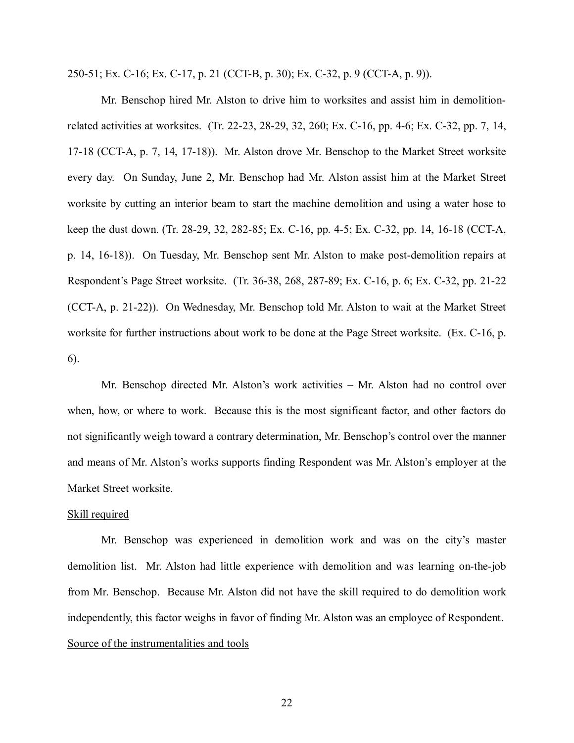250-51; Ex. C-16; Ex. C-17, p. 21 (CCT-B, p. 30); Ex. C-32, p. 9 (CCT-A, p. 9)).

Mr. Benschop hired Mr. Alston to drive him to worksites and assist him in demolitionrelated activities at worksites. (Tr. 22-23, 28-29, 32, 260; Ex. C-16, pp. 4-6; Ex. C-32, pp. 7, 14, 17-18 (CCT-A, p. 7, 14, 17-18)). Mr. Alston drove Mr. Benschop to the Market Street worksite every day. On Sunday, June 2, Mr. Benschop had Mr. Alston assist him at the Market Street worksite by cutting an interior beam to start the machine demolition and using a water hose to keep the dust down. (Tr. 28-29, 32, 282-85; Ex. C-16, pp. 4-5; Ex. C-32, pp. 14, 16-18 (CCT-A, p. 14, 16-18)). On Tuesday, Mr. Benschop sent Mr. Alston to make post-demolition repairs at Respondent's Page Street worksite. (Tr. 36-38, 268, 287-89; Ex. C-16, p. 6; Ex. C-32, pp. 21-22 (CCT-A, p. 21-22)). On Wednesday, Mr. Benschop told Mr. Alston to wait at the Market Street worksite for further instructions about work to be done at the Page Street worksite. (Ex. C-16, p. 6).

Mr. Benschop directed Mr. Alston's work activities – Mr. Alston had no control over when, how, or where to work. Because this is the most significant factor, and other factors do not significantly weigh toward a contrary determination, Mr. Benschop's control over the manner and means of Mr. Alston's works supports finding Respondent was Mr. Alston's employer at the Market Street worksite.

#### Skill required

Mr. Benschop was experienced in demolition work and was on the city's master demolition list. Mr. Alston had little experience with demolition and was learning on-the-job from Mr. Benschop. Because Mr. Alston did not have the skill required to do demolition work independently, this factor weighs in favor of finding Mr. Alston was an employee of Respondent. Source of the instrumentalities and tools

22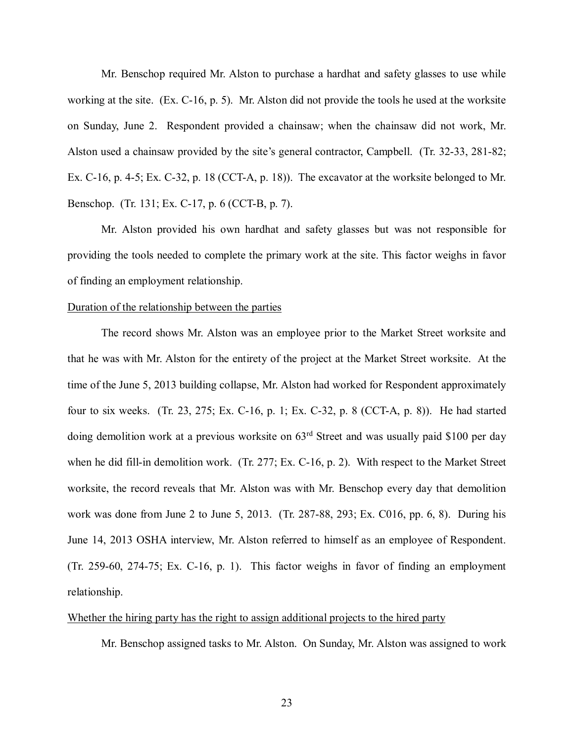Mr. Benschop required Mr. Alston to purchase a hardhat and safety glasses to use while working at the site. (Ex. C-16, p. 5). Mr. Alston did not provide the tools he used at the worksite on Sunday, June 2. Respondent provided a chainsaw; when the chainsaw did not work, Mr. Alston used a chainsaw provided by the site's general contractor, Campbell. (Tr. 32-33, 281-82; Ex. C-16, p. 4-5; Ex. C-32, p. 18 (CCT-A, p. 18)). The excavator at the worksite belonged to Mr. Benschop. (Tr. 131; Ex. C-17, p. 6 (CCT-B, p. 7).

Mr. Alston provided his own hardhat and safety glasses but was not responsible for providing the tools needed to complete the primary work at the site. This factor weighs in favor of finding an employment relationship.

## Duration of the relationship between the parties

The record shows Mr. Alston was an employee prior to the Market Street worksite and that he was with Mr. Alston for the entirety of the project at the Market Street worksite. At the time of the June 5, 2013 building collapse, Mr. Alston had worked for Respondent approximately four to six weeks. (Tr. 23, 275; Ex. C-16, p. 1; Ex. C-32, p. 8 (CCT-A, p. 8)). He had started doing demolition work at a previous worksite on  $63<sup>rd</sup>$  Street and was usually paid \$100 per day when he did fill-in demolition work. (Tr. 277; Ex. C-16, p. 2). With respect to the Market Street worksite, the record reveals that Mr. Alston was with Mr. Benschop every day that demolition work was done from June 2 to June 5, 2013. (Tr. 287-88, 293; Ex. C016, pp. 6, 8). During his June 14, 2013 OSHA interview, Mr. Alston referred to himself as an employee of Respondent. (Tr. 259-60, 274-75; Ex. C-16, p. 1). This factor weighs in favor of finding an employment relationship.

## Whether the hiring party has the right to assign additional projects to the hired party

Mr. Benschop assigned tasks to Mr. Alston. On Sunday, Mr. Alston was assigned to work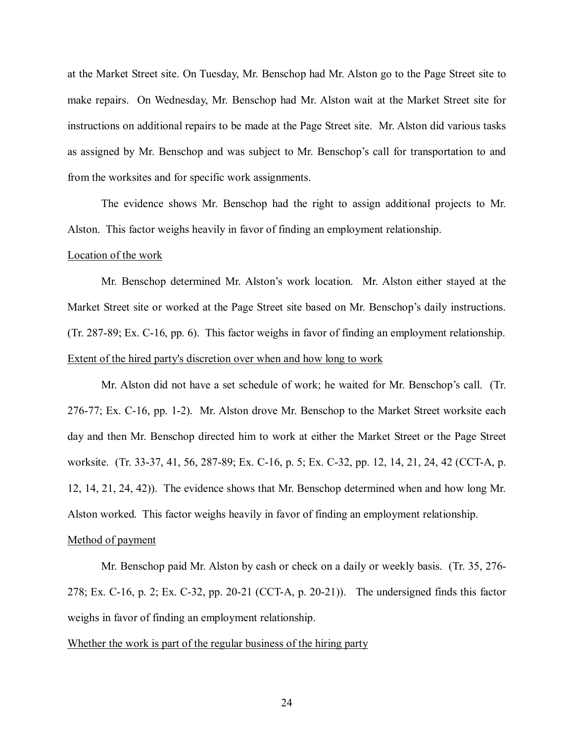at the Market Street site. On Tuesday, Mr. Benschop had Mr. Alston go to the Page Street site to make repairs. On Wednesday, Mr. Benschop had Mr. Alston wait at the Market Street site for instructions on additional repairs to be made at the Page Street site. Mr. Alston did various tasks as assigned by Mr. Benschop and was subject to Mr. Benschop's call for transportation to and from the worksites and for specific work assignments.

The evidence shows Mr. Benschop had the right to assign additional projects to Mr. Alston. This factor weighs heavily in favor of finding an employment relationship.

#### Location of the work

Mr. Benschop determined Mr. Alston's work location. Mr. Alston either stayed at the Market Street site or worked at the Page Street site based on Mr. Benschop's daily instructions. (Tr. 287-89; Ex. C-16, pp. 6). This factor weighs in favor of finding an employment relationship. Extent of the hired party's discretion over when and how long to work

Mr. Alston did not have a set schedule of work; he waited for Mr. Benschop's call. (Tr. 276-77; Ex. C-16, pp. 1-2). Mr. Alston drove Mr. Benschop to the Market Street worksite each day and then Mr. Benschop directed him to work at either the Market Street or the Page Street worksite. (Tr. 33-37, 41, 56, 287-89; Ex. C-16, p. 5; Ex. C-32, pp. 12, 14, 21, 24, 42 (CCT-A, p. 12, 14, 21, 24, 42)). The evidence shows that Mr. Benschop determined when and how long Mr. Alston worked. This factor weighs heavily in favor of finding an employment relationship. Method of payment

Mr. Benschop paid Mr. Alston by cash or check on a daily or weekly basis. (Tr. 35, 276- 278; Ex. C-16, p. 2; Ex. C-32, pp. 20-21 (CCT-A, p. 20-21)). The undersigned finds this factor weighs in favor of finding an employment relationship.

#### Whether the work is part of the regular business of the hiring party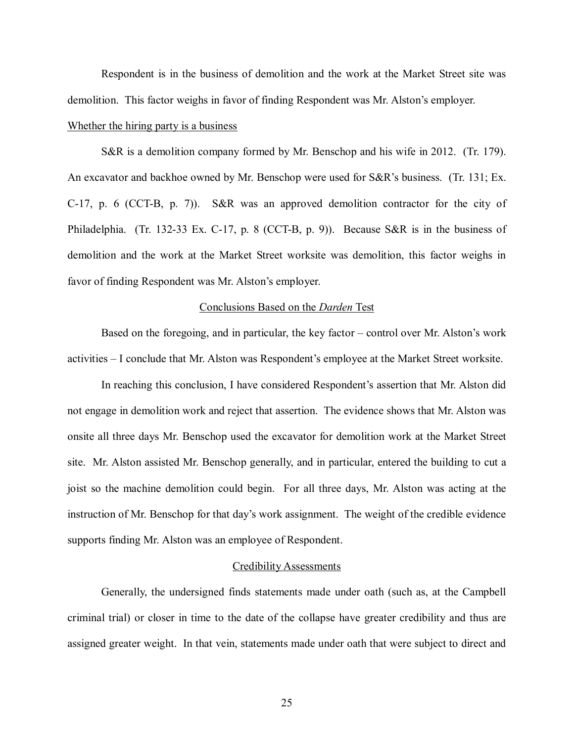Respondent is in the business of demolition and the work at the Market Street site was demolition. This factor weighs in favor of finding Respondent was Mr. Alston's employer.

## Whether the hiring party is a business

S&R is a demolition company formed by Mr. Benschop and his wife in 2012. (Tr. 179). An excavator and backhoe owned by Mr. Benschop were used for S&R's business. (Tr. 131; Ex. C-17, p. 6 (CCT-B, p. 7)). S&R was an approved demolition contractor for the city of Philadelphia. (Tr. 132-33 Ex. C-17, p. 8 (CCT-B, p. 9)). Because S&R is in the business of demolition and the work at the Market Street worksite was demolition, this factor weighs in favor of finding Respondent was Mr. Alston's employer.

### Conclusions Based on the *Darden* Test

Based on the foregoing, and in particular, the key factor – control over Mr. Alston's work activities – I conclude that Mr. Alston was Respondent's employee at the Market Street worksite.

In reaching this conclusion, I have considered Respondent's assertion that Mr. Alston did not engage in demolition work and reject that assertion. The evidence shows that Mr. Alston was onsite all three days Mr. Benschop used the excavator for demolition work at the Market Street site. Mr. Alston assisted Mr. Benschop generally, and in particular, entered the building to cut a joist so the machine demolition could begin. For all three days, Mr. Alston was acting at the instruction of Mr. Benschop for that day's work assignment. The weight of the credible evidence supports finding Mr. Alston was an employee of Respondent.

## Credibility Assessments

Generally, the undersigned finds statements made under oath (such as, at the Campbell criminal trial) or closer in time to the date of the collapse have greater credibility and thus are assigned greater weight. In that vein, statements made under oath that were subject to direct and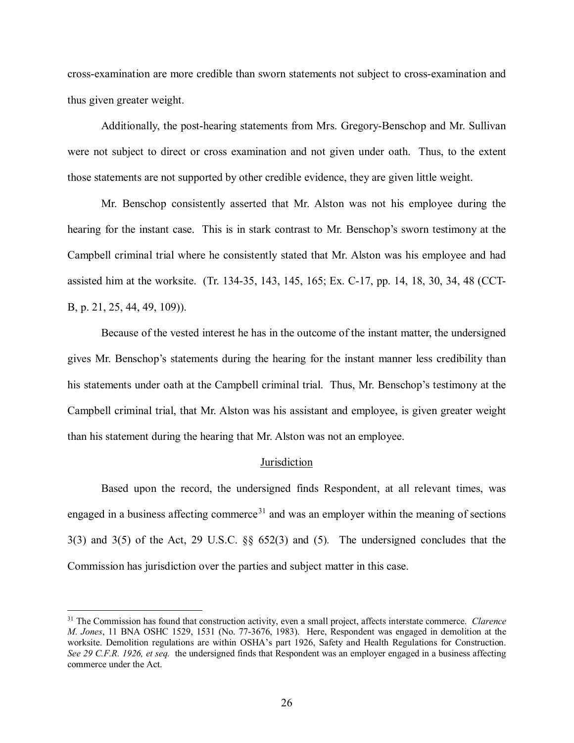cross-examination are more credible than sworn statements not subject to cross-examination and thus given greater weight.

Additionally, the post-hearing statements from Mrs. Gregory-Benschop and Mr. Sullivan were not subject to direct or cross examination and not given under oath. Thus, to the extent those statements are not supported by other credible evidence, they are given little weight.

Mr. Benschop consistently asserted that Mr. Alston was not his employee during the hearing for the instant case. This is in stark contrast to Mr. Benschop's sworn testimony at the Campbell criminal trial where he consistently stated that Mr. Alston was his employee and had assisted him at the worksite. (Tr. 134-35, 143, 145, 165; Ex. C-17, pp. 14, 18, 30, 34, 48 (CCT-B, p. 21, 25, 44, 49, 109)).

Because of the vested interest he has in the outcome of the instant matter, the undersigned gives Mr. Benschop's statements during the hearing for the instant manner less credibility than his statements under oath at the Campbell criminal trial. Thus, Mr. Benschop's testimony at the Campbell criminal trial, that Mr. Alston was his assistant and employee, is given greater weight than his statement during the hearing that Mr. Alston was not an employee.

#### **Jurisdiction**

Based upon the record, the undersigned finds Respondent, at all relevant times, was engaged in a business affecting commerce<sup>[31](#page-25-0)</sup> and was an employer within the meaning of sections 3(3) and 3(5) of the Act, 29 U.S.C. §§ 652(3) and (5)*.* The undersigned concludes that the Commission has jurisdiction over the parties and subject matter in this case.

<span id="page-25-0"></span><sup>31</sup> The Commission has found that construction activity, even a small project, affects interstate commerce. *Clarence M. Jones*, 11 BNA OSHC 1529, 1531 (No. 77-3676, 1983). Here, Respondent was engaged in demolition at the worksite. Demolition regulations are within OSHA's part 1926, Safety and Health Regulations for Construction. *See 29 C.F.R. 1926, et seq.* the undersigned finds that Respondent was an employer engaged in a business affecting commerce under the Act.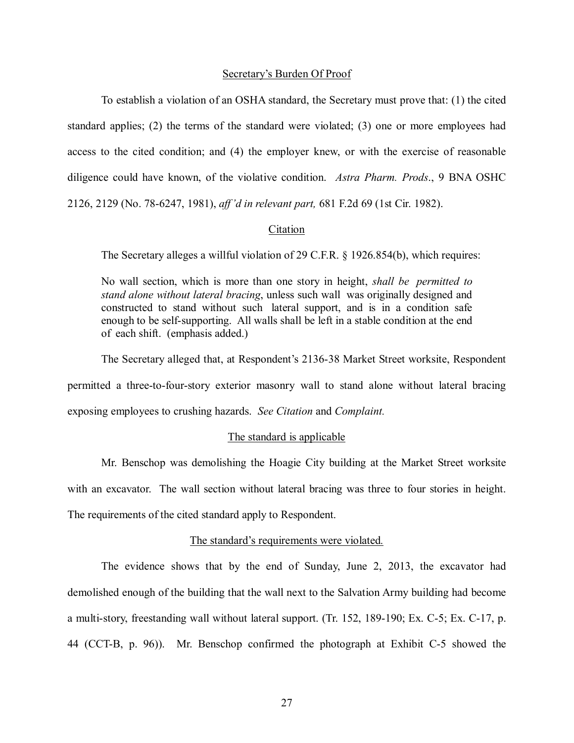#### Secretary's Burden Of Proof

To establish a violation of an OSHA standard, the Secretary must prove that: (1) the cited standard applies; (2) the terms of the standard were violated; (3) one or more employees had access to the cited condition; and (4) the employer knew, or with the exercise of reasonable diligence could have known, of the violative condition. *Astra Pharm. Prods*., 9 BNA OSHC 2126, 2129 (No. 78-6247, 1981), *aff'd in relevant part,* 681 F.2d 69 (1st Cir. 1982).

## Citation

The Secretary alleges a willful violation of 29 C.F.R. § 1926.854(b), which requires:

No wall section, which is more than one story in height, *shall be permitted to stand alone without lateral bracing*, unless such wall was originally designed and constructed to stand without such lateral support, and is in a condition safe enough to be self-supporting. All walls shall be left in a stable condition at the end of each shift. (emphasis added.)

 The Secretary alleged that, at Respondent's 2136-38 Market Street worksite, Respondent permitted a three-to-four-story exterior masonry wall to stand alone without lateral bracing exposing employees to crushing hazards. *See Citation* and *Complaint.* 

## The standard is applicable

Mr. Benschop was demolishing the Hoagie City building at the Market Street worksite with an excavator. The wall section without lateral bracing was three to four stories in height. The requirements of the cited standard apply to Respondent.

## The standard's requirements were violated*.*

The evidence shows that by the end of Sunday, June 2, 2013, the excavator had demolished enough of the building that the wall next to the Salvation Army building had become a multi-story, freestanding wall without lateral support. (Tr. 152, 189-190; Ex. C-5; Ex. C-17, p. 44 (CCT-B, p. 96)). Mr. Benschop confirmed the photograph at Exhibit C-5 showed the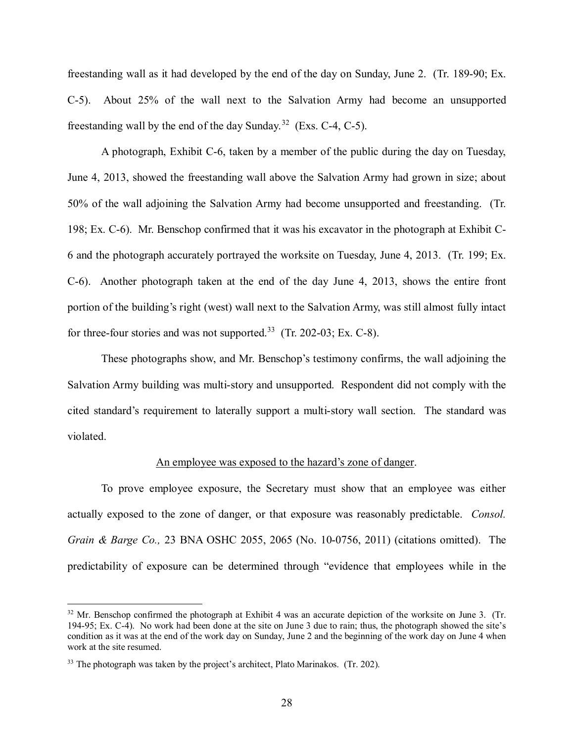freestanding wall as it had developed by the end of the day on Sunday, June 2. (Tr. 189-90; Ex. C-5). About 25% of the wall next to the Salvation Army had become an unsupported freestanding wall by the end of the day Sunday.<sup>32</sup> (Exs. C-4, C-5).

A photograph, Exhibit C-6, taken by a member of the public during the day on Tuesday, June 4, 2013, showed the freestanding wall above the Salvation Army had grown in size; about 50% of the wall adjoining the Salvation Army had become unsupported and freestanding. (Tr. 198; Ex. C-6). Mr. Benschop confirmed that it was his excavator in the photograph at Exhibit C-6 and the photograph accurately portrayed the worksite on Tuesday, June 4, 2013. (Tr. 199; Ex. C-6). Another photograph taken at the end of the day June 4, 2013, shows the entire front portion of the building's right (west) wall next to the Salvation Army, was still almost fully intact for three-four stories and was not supported.<sup>33</sup> (Tr. 202-03; Ex. C-8).

These photographs show, and Mr. Benschop's testimony confirms, the wall adjoining the Salvation Army building was multi-story and unsupported. Respondent did not comply with the cited standard's requirement to laterally support a multi-story wall section. The standard was violated.

## An employee was exposed to the hazard's zone of danger.

To prove employee exposure, the Secretary must show that an employee was either actually exposed to the zone of danger, or that exposure was reasonably predictable. *Consol. Grain & Barge Co.,* 23 BNA OSHC 2055, 2065 (No. 10-0756, 2011) (citations omitted). The predictability of exposure can be determined through "evidence that employees while in the

<span id="page-27-0"></span> $32$  Mr. Benschop confirmed the photograph at Exhibit 4 was an accurate depiction of the worksite on June 3. (Tr. 194-95; Ex. C-4). No work had been done at the site on June 3 due to rain; thus, the photograph showed the site's condition as it was at the end of the work day on Sunday, June 2 and the beginning of the work day on June 4 when work at the site resumed.

<span id="page-27-1"></span> $33$  The photograph was taken by the project's architect, Plato Marinakos. (Tr. 202).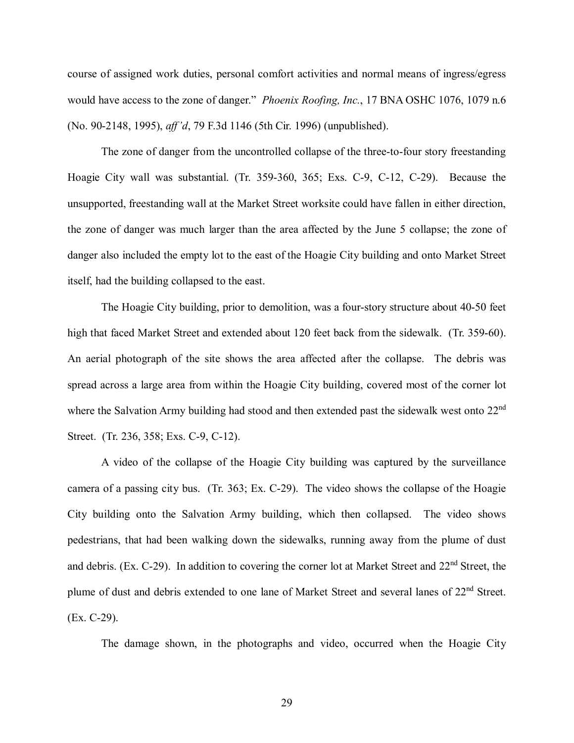course of assigned work duties, personal comfort activities and normal means of ingress/egress would have access to the zone of danger." *Phoenix Roofing, Inc.*, 17 BNA OSHC 1076, 1079 n.6 (No. 90-2148, 1995), *aff'd*, 79 F.3d 1146 (5th Cir. 1996) (unpublished).

The zone of danger from the uncontrolled collapse of the three-to-four story freestanding Hoagie City wall was substantial. (Tr. 359-360, 365; Exs. C-9, C-12, C-29). Because the unsupported, freestanding wall at the Market Street worksite could have fallen in either direction, the zone of danger was much larger than the area affected by the June 5 collapse; the zone of danger also included the empty lot to the east of the Hoagie City building and onto Market Street itself, had the building collapsed to the east.

The Hoagie City building, prior to demolition, was a four-story structure about 40-50 feet high that faced Market Street and extended about 120 feet back from the sidewalk. (Tr. 359-60). An aerial photograph of the site shows the area affected after the collapse. The debris was spread across a large area from within the Hoagie City building, covered most of the corner lot where the Salvation Army building had stood and then extended past the sidewalk west onto 22<sup>nd</sup> Street. (Tr. 236, 358; Exs. C-9, C-12).

A video of the collapse of the Hoagie City building was captured by the surveillance camera of a passing city bus. (Tr. 363; Ex. C-29). The video shows the collapse of the Hoagie City building onto the Salvation Army building, which then collapsed. The video shows pedestrians, that had been walking down the sidewalks, running away from the plume of dust and debris. (Ex. C-29). In addition to covering the corner lot at Market Street and 22<sup>nd</sup> Street, the plume of dust and debris extended to one lane of Market Street and several lanes of 22<sup>nd</sup> Street. (Ex. C-29).

The damage shown, in the photographs and video, occurred when the Hoagie City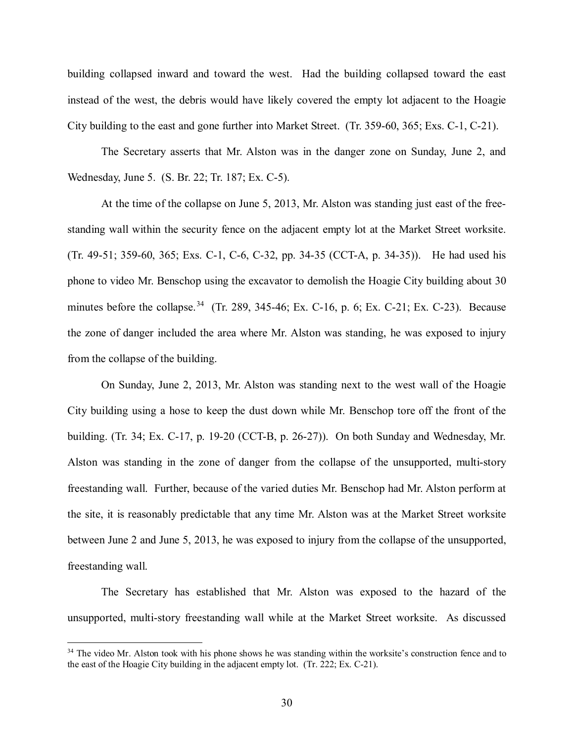building collapsed inward and toward the west. Had the building collapsed toward the east instead of the west, the debris would have likely covered the empty lot adjacent to the Hoagie City building to the east and gone further into Market Street. (Tr. 359-60, 365; Exs. C-1, C-21).

The Secretary asserts that Mr. Alston was in the danger zone on Sunday, June 2, and Wednesday, June 5. (S. Br. 22; Tr. 187; Ex. C-5).

At the time of the collapse on June 5, 2013, Mr. Alston was standing just east of the freestanding wall within the security fence on the adjacent empty lot at the Market Street worksite. (Tr. 49-51; 359-60, 365; Exs. C-1, C-6, C-32, pp. 34-35 (CCT-A, p. 34-35)). He had used his phone to video Mr. Benschop using the excavator to demolish the Hoagie City building about 30 minutes before the collapse.<sup>34</sup> (Tr. 289, 345-46; Ex. C-16, p. 6; Ex. C-21; Ex. C-23). Because the zone of danger included the area where Mr. Alston was standing, he was exposed to injury from the collapse of the building.

On Sunday, June 2, 2013, Mr. Alston was standing next to the west wall of the Hoagie City building using a hose to keep the dust down while Mr. Benschop tore off the front of the building. (Tr. 34; Ex. C-17, p. 19-20 (CCT-B, p. 26-27)). On both Sunday and Wednesday, Mr. Alston was standing in the zone of danger from the collapse of the unsupported, multi-story freestanding wall. Further, because of the varied duties Mr. Benschop had Mr. Alston perform at the site, it is reasonably predictable that any time Mr. Alston was at the Market Street worksite between June 2 and June 5, 2013, he was exposed to injury from the collapse of the unsupported, freestanding wall.

The Secretary has established that Mr. Alston was exposed to the hazard of the unsupported, multi-story freestanding wall while at the Market Street worksite. As discussed

<span id="page-29-0"></span><sup>&</sup>lt;sup>34</sup> The video Mr. Alston took with his phone shows he was standing within the worksite's construction fence and to the east of the Hoagie City building in the adjacent empty lot. (Tr. 222; Ex. C-21).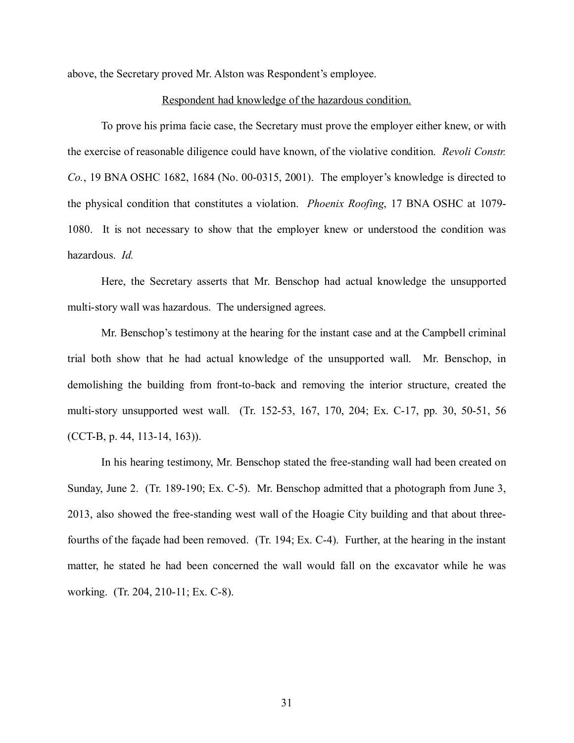above, the Secretary proved Mr. Alston was Respondent's employee.

## Respondent had knowledge of the hazardous condition.

To prove his prima facie case, the Secretary must prove the employer either knew, or with the exercise of reasonable diligence could have known, of the violative condition. *Revoli Constr. Co.*, 19 BNA OSHC 1682, 1684 (No. 00-0315, 2001). The employer's knowledge is directed to the physical condition that constitutes a violation. *Phoenix Roofing*, 17 BNA OSHC at 1079- 1080. It is not necessary to show that the employer knew or understood the condition was hazardous. *Id.*

Here, the Secretary asserts that Mr. Benschop had actual knowledge the unsupported multi-story wall was hazardous. The undersigned agrees.

Mr. Benschop's testimony at the hearing for the instant case and at the Campbell criminal trial both show that he had actual knowledge of the unsupported wall. Mr. Benschop, in demolishing the building from front-to-back and removing the interior structure, created the multi-story unsupported west wall. (Tr. 152-53, 167, 170, 204; Ex. C-17, pp. 30, 50-51, 56 (CCT-B, p. 44, 113-14, 163)).

In his hearing testimony, Mr. Benschop stated the free-standing wall had been created on Sunday, June 2. (Tr. 189-190; Ex. C-5). Mr. Benschop admitted that a photograph from June 3, 2013, also showed the free-standing west wall of the Hoagie City building and that about threefourths of the façade had been removed. (Tr. 194; Ex. C-4). Further, at the hearing in the instant matter, he stated he had been concerned the wall would fall on the excavator while he was working. (Tr. 204, 210-11; Ex. C-8).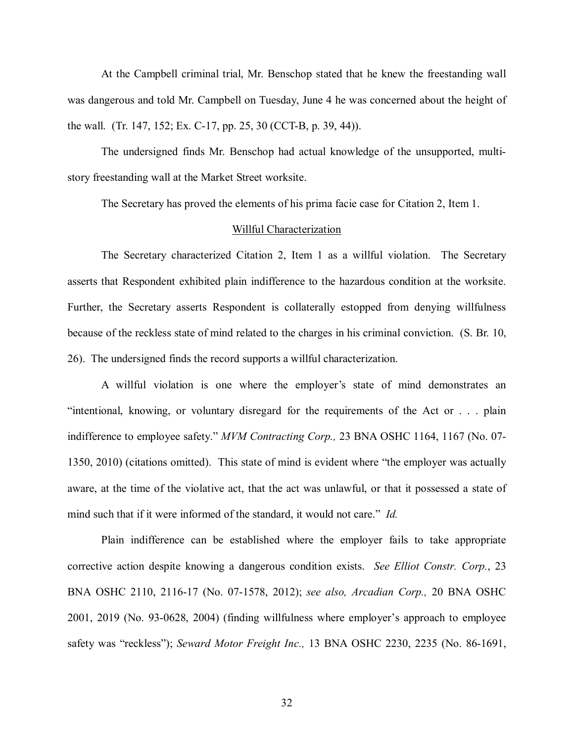At the Campbell criminal trial, Mr. Benschop stated that he knew the freestanding wall was dangerous and told Mr. Campbell on Tuesday, June 4 he was concerned about the height of the wall. (Tr. 147, 152; Ex. C-17, pp. 25, 30 (CCT-B, p. 39, 44)).

The undersigned finds Mr. Benschop had actual knowledge of the unsupported, multistory freestanding wall at the Market Street worksite.

The Secretary has proved the elements of his prima facie case for Citation 2, Item 1.

## Willful Characterization

The Secretary characterized Citation 2, Item 1 as a willful violation. The Secretary asserts that Respondent exhibited plain indifference to the hazardous condition at the worksite. Further, the Secretary asserts Respondent is collaterally estopped from denying willfulness because of the reckless state of mind related to the charges in his criminal conviction. (S. Br. 10, 26). The undersigned finds the record supports a willful characterization.

A willful violation is one where the employer's state of mind demonstrates an "intentional, knowing, or voluntary disregard for the requirements of the Act or . . . plain indifference to employee safety." *MVM Contracting Corp.,* 23 BNA OSHC 1164, 1167 (No. 07- 1350, 2010) (citations omitted). This state of mind is evident where "the employer was actually aware, at the time of the violative act, that the act was unlawful, or that it possessed a state of mind such that if it were informed of the standard, it would not care." *Id.*

Plain indifference can be established where the employer fails to take appropriate corrective action despite knowing a dangerous condition exists. *See Elliot Constr. Corp.*, 23 BNA OSHC 2110, 2116-17 (No. 07-1578, 2012); *see also, Arcadian Corp.,* 20 BNA OSHC 2001, 2019 (No. 93-0628, 2004) (finding willfulness where employer's approach to employee safety was "reckless"); *Seward Motor Freight Inc.,* 13 BNA OSHC 2230, 2235 (No. 86-1691,

32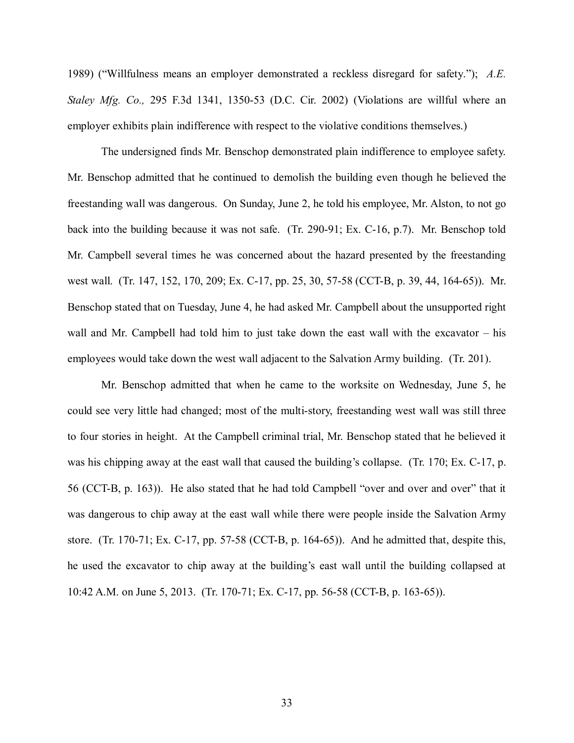1989) ("Willfulness means an employer demonstrated a reckless disregard for safety."); *A.E. Staley Mfg. Co.,* 295 F.3d 1341, 1350-53 (D.C. Cir. 2002) (Violations are willful where an employer exhibits plain indifference with respect to the violative conditions themselves.)

The undersigned finds Mr. Benschop demonstrated plain indifference to employee safety. Mr. Benschop admitted that he continued to demolish the building even though he believed the freestanding wall was dangerous. On Sunday, June 2, he told his employee, Mr. Alston, to not go back into the building because it was not safe. (Tr. 290-91; Ex. C-16, p.7). Mr. Benschop told Mr. Campbell several times he was concerned about the hazard presented by the freestanding west wall. (Tr. 147, 152, 170, 209; Ex. C-17, pp. 25, 30, 57-58 (CCT-B, p. 39, 44, 164-65)). Mr. Benschop stated that on Tuesday, June 4, he had asked Mr. Campbell about the unsupported right wall and Mr. Campbell had told him to just take down the east wall with the excavator – his employees would take down the west wall adjacent to the Salvation Army building. (Tr. 201).

Mr. Benschop admitted that when he came to the worksite on Wednesday, June 5, he could see very little had changed; most of the multi-story, freestanding west wall was still three to four stories in height. At the Campbell criminal trial, Mr. Benschop stated that he believed it was his chipping away at the east wall that caused the building's collapse. (Tr. 170; Ex. C-17, p. 56 (CCT-B, p. 163)). He also stated that he had told Campbell "over and over and over" that it was dangerous to chip away at the east wall while there were people inside the Salvation Army store. (Tr. 170-71; Ex. C-17, pp. 57-58 (CCT-B, p. 164-65)). And he admitted that, despite this, he used the excavator to chip away at the building's east wall until the building collapsed at 10:42 A.M. on June 5, 2013. (Tr. 170-71; Ex. C-17, pp. 56-58 (CCT-B, p. 163-65)).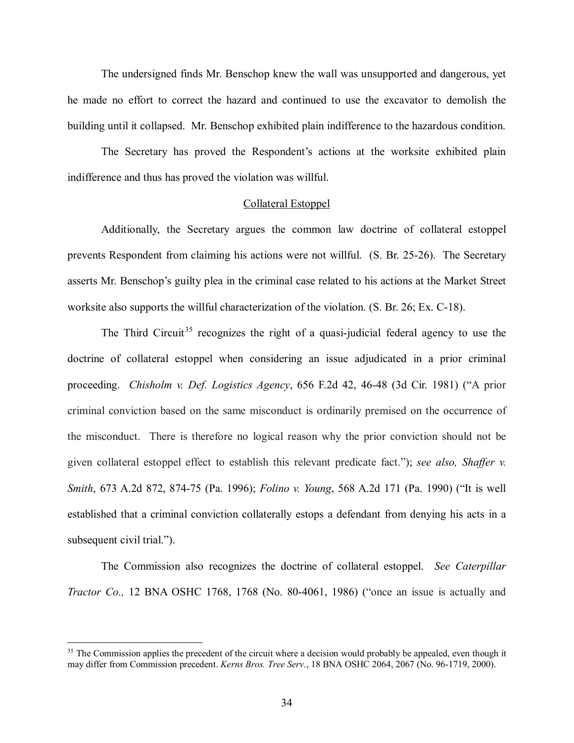The undersigned finds Mr. Benschop knew the wall was unsupported and dangerous, yet he made no effort to correct the hazard and continued to use the excavator to demolish the building until it collapsed. Mr. Benschop exhibited plain indifference to the hazardous condition.

The Secretary has proved the Respondent's actions at the worksite exhibited plain indifference and thus has proved the violation was willful.

#### Collateral Estoppel

Additionally, the Secretary argues the common law doctrine of collateral estoppel prevents Respondent from claiming his actions were not willful. (S. Br. 25-26). The Secretary asserts Mr. Benschop's guilty plea in the criminal case related to his actions at the Market Street worksite also supports the willful characterization of the violation. (S. Br. 26; Ex. C-18).

The Third Circuit<sup>[35](#page-33-0)</sup> recognizes the right of a quasi-judicial federal agency to use the doctrine of collateral estoppel when considering an issue adjudicated in a prior criminal proceeding. *Chisholm v. Def. Logistics Agency*, 656 F.2d 42, 46-48 (3d Cir. 1981) ("A prior criminal conviction based on the same misconduct is ordinarily premised on the occurrence of the misconduct. There is therefore no logical reason why the prior conviction should not be given collateral estoppel effect to establish this relevant predicate fact."); *see also, Shaffer v. Smith*, 673 A.2d 872, 874-75 (Pa. 1996); *Folino v. Young*, 568 A.2d 171 (Pa. 1990) ("It is well established that a criminal conviction collaterally estops a defendant from denying his acts in a subsequent civil trial.").

The Commission also recognizes the doctrine of collateral estoppel. *See Caterpillar Tractor Co.,* 12 BNA OSHC 1768, 1768 (No. 80-4061, 1986) ("once an issue is actually and

<span id="page-33-0"></span><sup>&</sup>lt;sup>35</sup> The Commission applies the precedent of the circuit where a decision would probably be appealed, even though it may differ from Commission precedent. *Kerns Bros. Tree Serv.*, 18 BNA OSHC 2064, 2067 (No. 96-1719, 2000).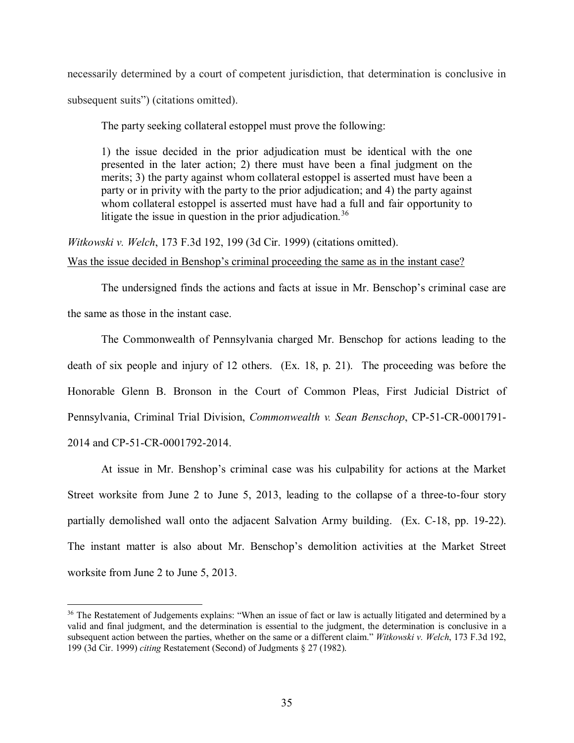necessarily determined by a court of competent jurisdiction, that determination is conclusive in subsequent suits") (citations omitted).

The party seeking collateral estoppel must prove the following:

1) the issue decided in the prior adjudication must be identical with the one presented in the later action; 2) there must have been a final judgment on the merits; 3) the party against whom collateral estoppel is asserted must have been a party or in privity with the party to the prior adjudication; and 4) the party against whom collateral estoppel is asserted must have had a full and fair opportunity to litigate the issue in question in the prior adjudication.<sup>[36](#page-34-0)</sup>

*Witkowski v. Welch*, 173 F.3d 192, 199 (3d Cir. 1999) (citations omitted). Was the issue decided in Benshop's criminal proceeding the same as in the instant case?

The undersigned finds the actions and facts at issue in Mr. Benschop's criminal case are the same as those in the instant case.

The Commonwealth of Pennsylvania charged Mr. Benschop for actions leading to the death of six people and injury of 12 others. (Ex. 18, p. 21). The proceeding was before the Honorable Glenn B. Bronson in the Court of Common Pleas, First Judicial District of Pennsylvania, Criminal Trial Division, *Commonwealth v. Sean Benschop*, CP-51-CR-0001791- 2014 and CP-51-CR-0001792-2014.

At issue in Mr. Benshop's criminal case was his culpability for actions at the Market Street worksite from June 2 to June 5, 2013, leading to the collapse of a three-to-four story partially demolished wall onto the adjacent Salvation Army building. (Ex. C-18, pp. 19-22). The instant matter is also about Mr. Benschop's demolition activities at the Market Street worksite from June 2 to June 5, 2013.

<span id="page-34-0"></span><sup>&</sup>lt;sup>36</sup> The Restatement of Judgements explains: "When an issue of fact or law is actually litigated and determined by a valid and final judgment, and the determination is essential to the judgment, the determination is conclusive in a subsequent action between the parties, whether on the same or a different claim." *Witkowski v. Welch*, 173 F.3d 192, 199 (3d Cir. 1999) *citing* Restatement (Second) of Judgments § 27 (1982).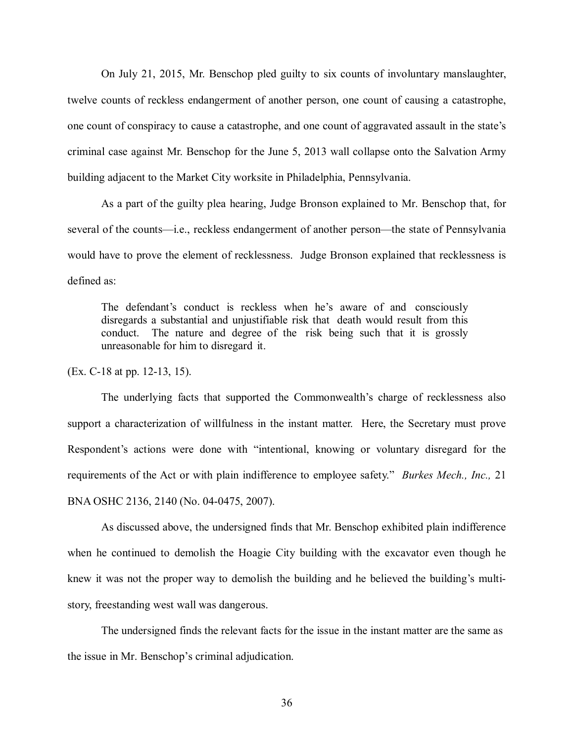On July 21, 2015, Mr. Benschop pled guilty to six counts of involuntary manslaughter, twelve counts of reckless endangerment of another person, one count of causing a catastrophe, one count of conspiracy to cause a catastrophe, and one count of aggravated assault in the state's criminal case against Mr. Benschop for the June 5, 2013 wall collapse onto the Salvation Army building adjacent to the Market City worksite in Philadelphia, Pennsylvania.

As a part of the guilty plea hearing, Judge Bronson explained to Mr. Benschop that, for several of the counts—i.e., reckless endangerment of another person—the state of Pennsylvania would have to prove the element of recklessness. Judge Bronson explained that recklessness is defined as:

The defendant's conduct is reckless when he's aware of and consciously disregards a substantial and unjustifiable risk that death would result from this conduct. The nature and degree of the risk being such that it is grossly unreasonable for him to disregard it.

(Ex. C-18 at pp. 12-13, 15).

The underlying facts that supported the Commonwealth's charge of recklessness also support a characterization of willfulness in the instant matter. Here, the Secretary must prove Respondent's actions were done with "intentional, knowing or voluntary disregard for the requirements of the Act or with plain indifference to employee safety." *Burkes Mech., Inc.,* 21 BNA OSHC 2136, 2140 (No. 04-0475, 2007).

As discussed above, the undersigned finds that Mr. Benschop exhibited plain indifference when he continued to demolish the Hoagie City building with the excavator even though he knew it was not the proper way to demolish the building and he believed the building's multistory, freestanding west wall was dangerous.

The undersigned finds the relevant facts for the issue in the instant matter are the same as the issue in Mr. Benschop's criminal adjudication.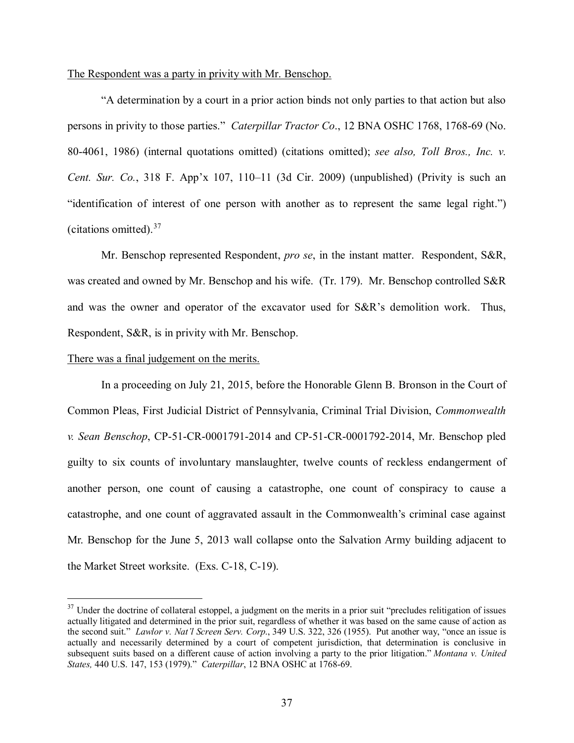## The Respondent was a party in privity with Mr. Benschop.

"A determination by a court in a prior action binds not only parties to that action but also persons in privity to those parties." *Caterpillar Tractor Co*., 12 BNA OSHC 1768, 1768-69 (No. 80-4061, 1986) (internal quotations omitted) (citations omitted); *see also, Toll Bros., Inc. v. Cent. Sur. Co.*, 318 F. App'x 107, 110–11 (3d Cir. 2009) (unpublished) (Privity is such an "identification of interest of one person with another as to represent the same legal right.") (citations omitted).[37](#page-36-0)

Mr. Benschop represented Respondent, *pro se*, in the instant matter. Respondent, S&R, was created and owned by Mr. Benschop and his wife. (Tr. 179). Mr. Benschop controlled S&R and was the owner and operator of the excavator used for S&R's demolition work. Thus, Respondent, S&R, is in privity with Mr. Benschop.

#### There was a final judgement on the merits.

 $\overline{a}$ 

In a proceeding on July 21, 2015, before the Honorable Glenn B. Bronson in the Court of Common Pleas, First Judicial District of Pennsylvania, Criminal Trial Division, *Commonwealth v. Sean Benschop*, CP-51-CR-0001791-2014 and CP-51-CR-0001792-2014, Mr. Benschop pled guilty to six counts of involuntary manslaughter, twelve counts of reckless endangerment of another person, one count of causing a catastrophe, one count of conspiracy to cause a catastrophe, and one count of aggravated assault in the Commonwealth's criminal case against Mr. Benschop for the June 5, 2013 wall collapse onto the Salvation Army building adjacent to the Market Street worksite. (Exs. C-18, C-19).

<span id="page-36-0"></span> $37$  Under the doctrine of collateral estoppel, a judgment on the merits in a prior suit "precludes relitigation of issues actually litigated and determined in the prior suit, regardless of whether it was based on the same cause of action as the second suit." *Lawlor v. Nat'l Screen Serv. Corp*., 349 U.S. 322, 326 (1955). Put another way, "once an issue is actually and necessarily determined by a court of competent jurisdiction, that determination is conclusive in subsequent suits based on a different cause of action involving a party to the prior litigation." *Montana v. United States,* 440 U.S. 147, 153 (1979)." *Caterpillar*, 12 BNA OSHC at 1768-69.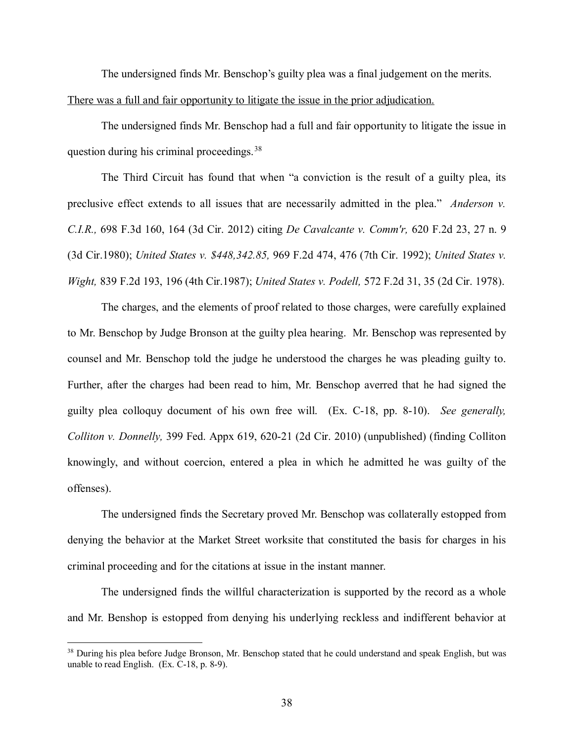The undersigned finds Mr. Benschop's guilty plea was a final judgement on the merits.

There was a full and fair opportunity to litigate the issue in the prior adjudication.

 The undersigned finds Mr. Benschop had a full and fair opportunity to litigate the issue in question during his criminal proceedings.<sup>38</sup>

The Third Circuit has found that when "a conviction is the result of a guilty plea, its preclusive effect extends to all issues that are necessarily admitted in the plea." *Anderson v. C.I.R.,* 698 F.3d 160, 164 (3d Cir. 2012) citing *De Cavalcante v. Comm'r,* 620 F.2d 23, 27 n. 9 (3d Cir.1980); *United States v. \$448,342.85,* 969 F.2d 474, 476 (7th Cir. 1992); *United States v. Wight,* 839 F.2d 193, 196 (4th Cir.1987); *United States v. Podell,* 572 F.2d 31, 35 (2d Cir. 1978).

The charges, and the elements of proof related to those charges, were carefully explained to Mr. Benschop by Judge Bronson at the guilty plea hearing. Mr. Benschop was represented by counsel and Mr. Benschop told the judge he understood the charges he was pleading guilty to. Further, after the charges had been read to him, Mr. Benschop averred that he had signed the guilty plea colloquy document of his own free will. (Ex. C-18, pp. 8-10). *See generally, Colliton v. Donnelly,* 399 Fed. Appx 619, 620-21 (2d Cir. 2010) (unpublished) (finding Colliton knowingly, and without coercion, entered a plea in which he admitted he was guilty of the offenses).

The undersigned finds the Secretary proved Mr. Benschop was collaterally estopped from denying the behavior at the Market Street worksite that constituted the basis for charges in his criminal proceeding and for the citations at issue in the instant manner.

The undersigned finds the willful characterization is supported by the record as a whole and Mr. Benshop is estopped from denying his underlying reckless and indifferent behavior at

<span id="page-37-0"></span><sup>&</sup>lt;sup>38</sup> During his plea before Judge Bronson, Mr. Benschop stated that he could understand and speak English, but was unable to read English. (Ex. C-18, p. 8-9).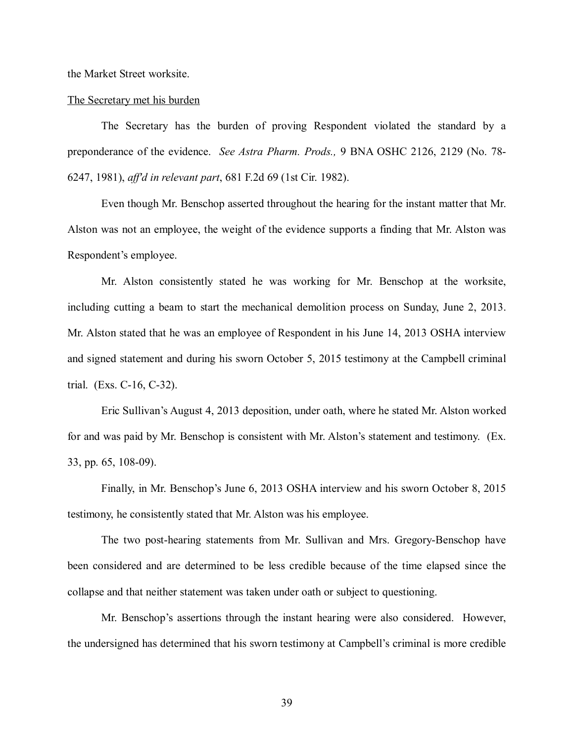the Market Street worksite.

#### The Secretary met his burden

The Secretary has the burden of proving Respondent violated the standard by a preponderance of the evidence. *See Astra Pharm. Prods.,* 9 BNA OSHC 2126, 2129 (No. 78- 6247, 1981), *aff'd in relevant part*, 681 F.2d 69 (1st Cir. 1982).

Even though Mr. Benschop asserted throughout the hearing for the instant matter that Mr. Alston was not an employee, the weight of the evidence supports a finding that Mr. Alston was Respondent's employee.

Mr. Alston consistently stated he was working for Mr. Benschop at the worksite, including cutting a beam to start the mechanical demolition process on Sunday, June 2, 2013. Mr. Alston stated that he was an employee of Respondent in his June 14, 2013 OSHA interview and signed statement and during his sworn October 5, 2015 testimony at the Campbell criminal trial. (Exs. C-16, C-32).

Eric Sullivan's August 4, 2013 deposition, under oath, where he stated Mr. Alston worked for and was paid by Mr. Benschop is consistent with Mr. Alston's statement and testimony. (Ex. 33, pp. 65, 108-09).

Finally, in Mr. Benschop's June 6, 2013 OSHA interview and his sworn October 8, 2015 testimony, he consistently stated that Mr. Alston was his employee.

The two post-hearing statements from Mr. Sullivan and Mrs. Gregory-Benschop have been considered and are determined to be less credible because of the time elapsed since the collapse and that neither statement was taken under oath or subject to questioning.

Mr. Benschop's assertions through the instant hearing were also considered. However, the undersigned has determined that his sworn testimony at Campbell's criminal is more credible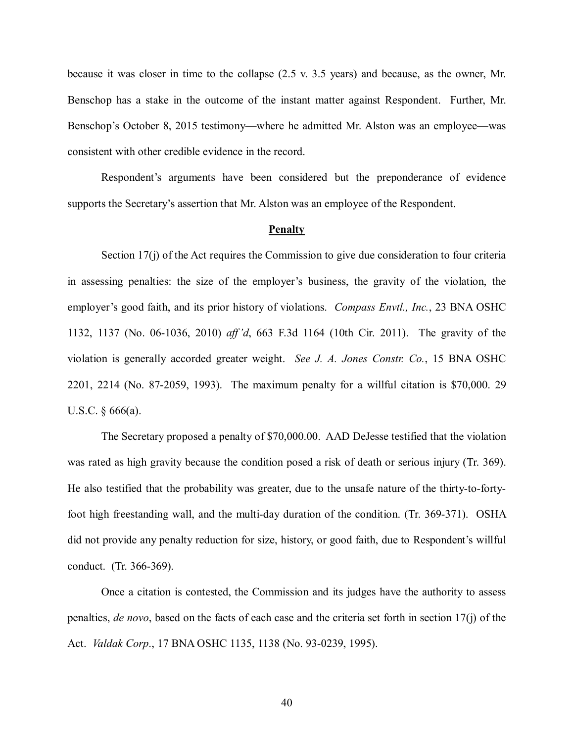because it was closer in time to the collapse (2.5 v. 3.5 years) and because, as the owner, Mr. Benschop has a stake in the outcome of the instant matter against Respondent. Further, Mr. Benschop's October 8, 2015 testimony—where he admitted Mr. Alston was an employee—was consistent with other credible evidence in the record.

Respondent's arguments have been considered but the preponderance of evidence supports the Secretary's assertion that Mr. Alston was an employee of the Respondent.

#### **Penalty**

Section 17(j) of the Act requires the Commission to give due consideration to four criteria in assessing penalties: the size of the employer's business, the gravity of the violation, the employer's good faith, and its prior history of violations. *Compass Envtl., Inc.*, 23 BNA OSHC 1132, 1137 (No. 06-1036, 2010) *aff'd*, 663 F.3d 1164 (10th Cir. 2011). The gravity of the violation is generally accorded greater weight. *See J. A. Jones Constr. Co.*, 15 BNA OSHC 2201, 2214 (No. 87-2059, 1993). The maximum penalty for a willful citation is \$70,000. 29 U.S.C. § 666(a).

The Secretary proposed a penalty of \$70,000.00. AAD DeJesse testified that the violation was rated as high gravity because the condition posed a risk of death or serious injury (Tr. 369). He also testified that the probability was greater, due to the unsafe nature of the thirty-to-fortyfoot high freestanding wall, and the multi-day duration of the condition. (Tr. 369-371). OSHA did not provide any penalty reduction for size, history, or good faith, due to Respondent's willful conduct. (Tr. 366-369).

Once a citation is contested, the Commission and its judges have the authority to assess penalties, *de novo*, based on the facts of each case and the criteria set forth in section 17(j) of the Act. *Valdak Corp*., 17 BNA OSHC 1135, 1138 (No. 93-0239, 1995).